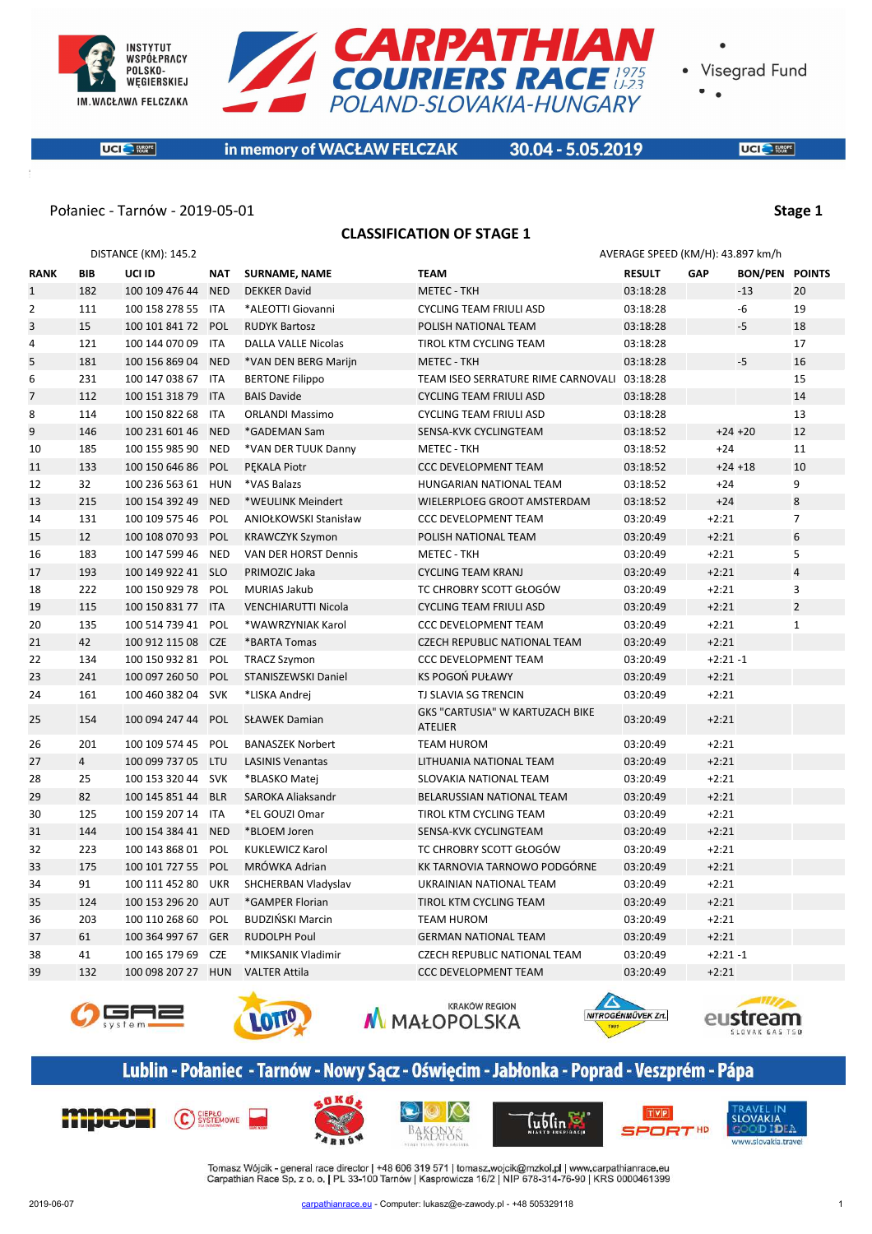



 $\bullet$ 

**UCI** E FURRATE

in memory of WACŁAW FELCZAK

30.04 - 5.05.2019

**UCI** SERVICE

# Połaniec - Tarnów - 2019-05-01 **Stage 1**

#### **CLASSIFICATION OF STAGE 1**

|      |                | DISTANCE (KM): 145.2 |            |                            |                                                   | AVERAGE SPEED (KM/H): 43.897 km/h |             |                |                |
|------|----------------|----------------------|------------|----------------------------|---------------------------------------------------|-----------------------------------|-------------|----------------|----------------|
| RANK | BIB            | UCI ID               | NAT        | <b>SURNAME, NAME</b>       | <b>TEAM</b>                                       | <b>RESULT</b>                     | <b>GAP</b>  | <b>BON/PEN</b> | <b>POINTS</b>  |
| 1    | 182            | 100 109 476 44       | <b>NED</b> | <b>DEKKER David</b>        | <b>METEC - TKH</b>                                | 03:18:28                          |             | $-13$          | 20             |
| 2    | 111            | 100 158 278 55 ITA   |            | *ALEOTTI Giovanni          | <b>CYCLING TEAM FRIULI ASD</b>                    | 03:18:28                          |             | -6             | 19             |
| 3    | 15             | 100 101 841 72 POL   |            | <b>RUDYK Bartosz</b>       | POLISH NATIONAL TEAM                              | 03:18:28                          |             | $-5$           | 18             |
| 4    | 121            | 100 144 070 09       | <b>ITA</b> | <b>DALLA VALLE Nicolas</b> | <b>TIROL KTM CYCLING TEAM</b>                     | 03:18:28                          |             |                | 17             |
| 5    | 181            | 100 156 869 04       | <b>NED</b> | *VAN DEN BERG Marijn       | <b>METEC - TKH</b>                                | 03:18:28                          |             | $-5$           | 16             |
| 6    | 231            | 100 147 038 67 ITA   |            | <b>BERTONE Filippo</b>     | TEAM ISEO SERRATURE RIME CARNOVALI 03:18:28       |                                   |             |                | 15             |
| 7    | 112            | 100 151 318 79       | <b>ITA</b> | <b>BAIS Davide</b>         | <b>CYCLING TEAM FRIULI ASD</b>                    | 03:18:28                          |             |                | 14             |
| 8    | 114            | 100 150 822 68 ITA   |            | <b>ORLANDI Massimo</b>     | <b>CYCLING TEAM FRIULI ASD</b>                    | 03:18:28                          |             |                | 13             |
| 9    | 146            | 100 231 601 46 NED   |            | *GADEMAN Sam               | SENSA-KVK CYCLINGTEAM                             | 03:18:52                          |             | $+24 +20$      | 12             |
| 10   | 185            | 100 155 985 90       | <b>NED</b> | *VAN DER TUUK Danny        | <b>METEC - TKH</b>                                | 03:18:52                          | $+24$       |                | 11             |
| 11   | 133            | 100 150 646 86 POL   |            | <b>PEKALA Piotr</b>        | <b>CCC DEVELOPMENT TEAM</b>                       | 03:18:52                          |             | $+24 +18$      | 10             |
| 12   | 32             | 100 236 563 61 HUN   |            | *VAS Balazs                | HUNGARIAN NATIONAL TEAM                           | 03:18:52                          | $+24$       |                | 9              |
| 13   | 215            | 100 154 392 49 NED   |            | *WEULINK Meindert          | WIELERPLOEG GROOT AMSTERDAM                       | 03:18:52                          | $+24$       |                | 8              |
| 14   | 131            | 100 109 575 46       | POL        | ANIOŁKOWSKI Stanisław      | <b>CCC DEVELOPMENT TEAM</b>                       | 03:20:49                          | $+2:21$     |                | $\overline{7}$ |
| 15   | 12             | 100 108 070 93 POL   |            | <b>KRAWCZYK Szymon</b>     | POLISH NATIONAL TEAM                              | 03:20:49                          | $+2:21$     |                | 6              |
| 16   | 183            | 100 147 599 46 NED   |            | VAN DER HORST Dennis       | <b>METEC - TKH</b>                                | 03:20:49                          | $+2:21$     |                | 5              |
| 17   | 193            | 100 149 922 41 SLO   |            | PRIMOZIC Jaka              | <b>CYCLING TEAM KRANJ</b>                         | 03:20:49                          | $+2:21$     |                | $\overline{4}$ |
| 18   | 222            | 100 150 929 78       | POL        | <b>MURIAS Jakub</b>        | TC CHROBRY SCOTT GŁOGÓW                           | 03:20:49                          | $+2:21$     |                | 3              |
| 19   | 115            | 100 150 831 77 ITA   |            | <b>VENCHIARUTTI Nicola</b> | <b>CYCLING TEAM FRIULI ASD</b>                    | 03:20:49                          | $+2:21$     |                | $\overline{2}$ |
| 20   | 135            | 100 514 739 41 POL   |            | *WAWRZYNIAK Karol          | CCC DEVELOPMENT TEAM                              | 03:20:49                          | $+2:21$     |                | $\mathbf{1}$   |
| 21   | 42             | 100 912 115 08 CZE   |            | *BARTA Tomas               | <b>CZECH REPUBLIC NATIONAL TEAM</b>               | 03:20:49                          | $+2:21$     |                |                |
| 22   | 134            | 100 150 932 81 POL   |            | <b>TRACZ Szymon</b>        | <b>CCC DEVELOPMENT TEAM</b>                       | 03:20:49                          | $+2:21 -1$  |                |                |
| 23   | 241            | 100 097 260 50       | POL        | STANISZEWSKI Daniel        | KS POGOŃ PUŁAWY                                   | 03:20:49                          | $+2:21$     |                |                |
| 24   | 161            | 100 460 382 04       | <b>SVK</b> | *LISKA Andrej              | TJ SLAVIA SG TRENCIN                              | 03:20:49                          | $+2:21$     |                |                |
| 25   | 154            | 100 094 247 44 POL   |            | <b>SŁAWEK Damian</b>       | GKS "CARTUSIA" W KARTUZACH BIKE<br><b>ATELIER</b> | 03:20:49                          | $+2:21$     |                |                |
| 26   | 201            | 100 109 574 45 POL   |            | <b>BANASZEK Norbert</b>    | <b>TEAM HUROM</b>                                 | 03:20:49                          | $+2:21$     |                |                |
| 27   | $\overline{4}$ | 100 099 737 05       | LTU        | <b>LASINIS Venantas</b>    | LITHUANIA NATIONAL TEAM                           | 03:20:49                          | $+2:21$     |                |                |
| 28   | 25             | 100 153 320 44       | <b>SVK</b> | *BLASKO Matej              | SLOVAKIA NATIONAL TEAM                            | 03:20:49                          | $+2:21$     |                |                |
| 29   | 82             | 100 145 851 44       | <b>BLR</b> | SAROKA Aliaksandr          | BELARUSSIAN NATIONAL TEAM                         | 03:20:49                          | $+2:21$     |                |                |
| 30   | 125            | 100 159 207 14 ITA   |            | *EL GOUZI Omar             | TIROL KTM CYCLING TEAM                            | 03:20:49                          | $+2:21$     |                |                |
| 31   | 144            | 100 154 384 41 NED   |            | *BLOEM Joren               | SENSA-KVK CYCLINGTEAM                             | 03:20:49                          | $+2:21$     |                |                |
| 32   | 223            | 100 143 868 01 POL   |            | <b>KUKLEWICZ Karol</b>     | TC CHROBRY SCOTT GŁOGÓW                           | 03:20:49                          | $+2:21$     |                |                |
| 33   | 175            | 100 101 727 55 POL   |            | MRÓWKA Adrian              | KK TARNOVIA TARNOWO PODGÓRNE                      | 03:20:49                          | $+2:21$     |                |                |
| 34   | 91             | 100 111 452 80 UKR   |            | SHCHERBAN Vladyslav        | UKRAINIAN NATIONAL TEAM                           | 03:20:49                          | $+2:21$     |                |                |
| 35   | 124            | 100 153 296 20 AUT   |            | *GAMPER Florian            | TIROL KTM CYCLING TEAM                            | 03:20:49                          | $+2:21$     |                |                |
| 36   | 203            | 100 110 268 60 POL   |            | <b>BUDZIŃSKI Marcin</b>    | <b>TEAM HUROM</b>                                 | 03:20:49                          | $+2:21$     |                |                |
| 37   | 61             | 100 364 997 67 GER   |            | <b>RUDOLPH Poul</b>        | <b>GERMAN NATIONAL TEAM</b>                       | 03:20:49                          | $+2:21$     |                |                |
| 38   | 41             | 100 165 179 69       | <b>CZE</b> | *MIKSANIK Vladimir         | <b>CZECH REPUBLIC NATIONAL TEAM</b>               | 03:20:49                          | $+2:21 - 1$ |                |                |
| 39   | 132            | 100 098 207 27 HUN   |            | <b>VALTER Attila</b>       | <b>CCC DEVELOPMENT TEAM</b>                       | 03:20:49                          | $+2:21$     |                |                |
|      |                |                      |            |                            |                                                   |                                   |             |                |                |











# Lublin - Połaniec - Tarnów - Nowy Sącz - Oświęcim - Jabłonka - Poprad - Veszprém - Pápa











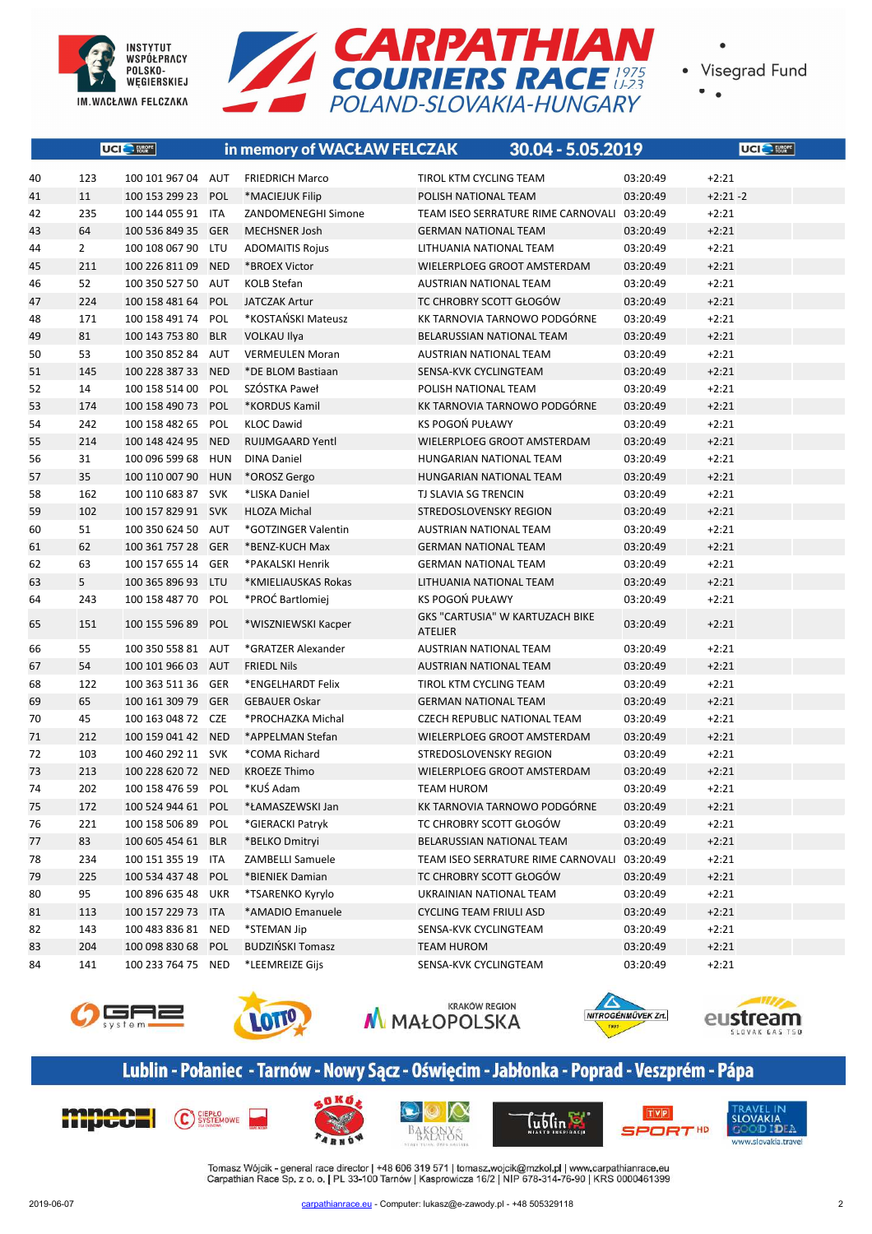



 $\bullet$ 

|    |                | UCI <sup>O</sup> FURPE |            | in memory of WACŁAW FELCZAK | 30.04 - 5.05.2019                                 |          | UCI <sup>O</sup> FURPE |
|----|----------------|------------------------|------------|-----------------------------|---------------------------------------------------|----------|------------------------|
| 40 | 123            | 100 101 967 04 AUT     |            | <b>FRIEDRICH Marco</b>      | <b>TIROL KTM CYCLING TEAM</b>                     | 03:20:49 | $+2:21$                |
| 41 | 11             | 100 153 299 23         | <b>POL</b> | *MACIEJUK Filip             | POLISH NATIONAL TEAM                              | 03:20:49 | $+2:21-2$              |
| 42 | 235            | 100 144 055 91 ITA     |            | ZANDOMENEGHI Simone         | TEAM ISEO SERRATURE RIME CARNOVALI 03:20:49       |          | $+2:21$                |
| 43 | 64             | 100 536 849 35         | <b>GER</b> | <b>MECHSNER Josh</b>        | <b>GERMAN NATIONAL TEAM</b>                       | 03:20:49 | $+2:21$                |
| 44 | $\overline{2}$ | 100 108 067 90         | LTU        | <b>ADOMAITIS Rojus</b>      | LITHUANIA NATIONAL TEAM                           | 03:20:49 | $+2:21$                |
| 45 | 211            | 100 226 811 09         | <b>NED</b> | *BROEX Victor               | WIELERPLOEG GROOT AMSTERDAM                       | 03:20:49 | $+2:21$                |
| 46 | 52             | 100 350 527 50 AUT     |            | <b>KOLB Stefan</b>          | AUSTRIAN NATIONAL TEAM                            | 03:20:49 | $+2:21$                |
| 47 | 224            | 100 158 481 64 POL     |            | <b>JATCZAK Artur</b>        | TC CHROBRY SCOTT GŁOGÓW                           | 03:20:49 | $+2:21$                |
| 48 | 171            | 100 158 491 74 POL     |            | *KOSTAŃSKI Mateusz          | KK TARNOVIA TARNOWO PODGÓRNE                      | 03:20:49 | $+2:21$                |
| 49 | 81             | 100 143 753 80 BLR     |            | <b>VOLKAU Ilya</b>          | BELARUSSIAN NATIONAL TEAM                         | 03:20:49 | $+2:21$                |
| 50 | 53             | 100 350 852 84 AUT     |            | <b>VERMEULEN Moran</b>      | AUSTRIAN NATIONAL TEAM                            | 03:20:49 | $+2:21$                |
| 51 | 145            | 100 228 387 33 NED     |            | *DE BLOM Bastiaan           | SENSA-KVK CYCLINGTEAM                             | 03:20:49 | $+2:21$                |
| 52 | 14             | 100 158 514 00 POL     |            | SZÓSTKA Paweł               | POLISH NATIONAL TEAM                              | 03:20:49 | $+2:21$                |
| 53 | 174            | 100 158 490 73         | <b>POL</b> | *KORDUS Kamil               | KK TARNOVIA TARNOWO PODGÓRNE                      | 03:20:49 | $+2:21$                |
| 54 | 242            | 100 158 482 65 POL     |            | <b>KLOC Dawid</b>           | KS POGOŃ PUŁAWY                                   | 03:20:49 | $+2:21$                |
| 55 | 214            | 100 148 424 95 NED     |            | <b>RUIJMGAARD Yentl</b>     | WIELERPLOEG GROOT AMSTERDAM                       | 03:20:49 | $+2:21$                |
| 56 | 31             | 100 096 599 68 HUN     |            | <b>DINA Daniel</b>          | HUNGARIAN NATIONAL TEAM                           | 03:20:49 | $+2:21$                |
| 57 | 35             | 100 110 007 90 HUN     |            | *OROSZ Gergo                | HUNGARIAN NATIONAL TEAM                           | 03:20:49 | $+2:21$                |
| 58 | 162            | 100 110 683 87 SVK     |            | *LISKA Daniel               | TJ SLAVIA SG TRENCIN                              | 03:20:49 | $+2:21$                |
| 59 | 102            | 100 157 829 91 SVK     |            | <b>HLOZA Michal</b>         | STREDOSLOVENSKY REGION                            | 03:20:49 | $+2:21$                |
| 60 | 51             | 100 350 624 50 AUT     |            | *GOTZINGER Valentin         | <b>AUSTRIAN NATIONAL TEAM</b>                     | 03:20:49 | $+2:21$                |
| 61 | 62             | 100 361 757 28 GER     |            | *BENZ-KUCH Max              | <b>GERMAN NATIONAL TEAM</b>                       | 03:20:49 | $+2:21$                |
| 62 | 63             | 100 157 655 14         | GER        | *PAKALSKI Henrik            | <b>GERMAN NATIONAL TEAM</b>                       | 03:20:49 | $+2:21$                |
| 63 | 5              | 100 365 896 93 LTU     |            | *KMIELIAUSKAS Rokas         | LITHUANIA NATIONAL TEAM                           | 03:20:49 | $+2:21$                |
| 64 | 243            | 100 158 487 70 POL     |            | *PROĆ Bartlomiej            | KS POGOŃ PUŁAWY                                   | 03:20:49 | $+2:21$                |
| 65 | 151            | 100 155 596 89         | <b>POL</b> | *WISZNIEWSKI Kacper         | GKS "CARTUSIA" W KARTUZACH BIKE<br><b>ATELIER</b> | 03:20:49 | $+2:21$                |
| 66 | 55             | 100 350 558 81 AUT     |            | *GRATZER Alexander          | AUSTRIAN NATIONAL TEAM                            | 03:20:49 | $+2:21$                |
| 67 | 54             | 100 101 966 03 AUT     |            | <b>FRIEDL Nils</b>          | AUSTRIAN NATIONAL TEAM                            | 03:20:49 | $+2:21$                |
| 68 | 122            | 100 363 511 36         | GER        | *ENGELHARDT Felix           | TIROL KTM CYCLING TEAM                            | 03:20:49 | $+2:21$                |
| 69 | 65             | 100 161 309 79         | <b>GER</b> | <b>GEBAUER Oskar</b>        | <b>GERMAN NATIONAL TEAM</b>                       | 03:20:49 | $+2:21$                |
| 70 | 45             | 100 163 048 72 CZE     |            | *PROCHAZKA Michal           | <b>CZECH REPUBLIC NATIONAL TEAM</b>               | 03:20:49 | $+2:21$                |
| 71 | 212            | 100 159 041 42 NED     |            | *APPELMAN Stefan            | WIELERPLOEG GROOT AMSTERDAM                       | 03:20:49 | $+2:21$                |
| 72 | 103            | 100 460 292 11 SVK     |            | *COMA Richard               | STREDOSLOVENSKY REGION                            | 03:20:49 | $+2:21$                |
| 73 | 213            | 100 228 620 72 NED     |            | <b>KROEZE Thimo</b>         | WIELERPLOEG GROOT AMSTERDAM                       | 03:20:49 | $+2:21$                |
| 74 | 202            | 100 158 476 59 POL     |            | *KUŚ Adam                   | TEAM HUROM                                        | 03:20:49 | $+2:21$                |
| 75 | 172            | 100 524 944 61 POL     |            | *ŁAMASZEWSKI Jan            | KK TARNOVIA TARNOWO PODGÓRNE                      | 03:20:49 | $+2:21$                |
| 76 | 221            | 100 158 506 89 POL     |            | *GIERACKI Patryk            | TC CHROBRY SCOTT GŁOGÓW                           | 03:20:49 | $+2:21$                |
| 77 | 83             | 100 605 454 61 BLR     |            | *BELKO Dmitryi              | BELARUSSIAN NATIONAL TEAM                         | 03:20:49 | $+2:21$                |
| 78 | 234            | 100 151 355 19 ITA     |            | ZAMBELLI Samuele            | TEAM ISEO SERRATURE RIME CARNOVALI                | 03:20:49 | $+2:21$                |
| 79 | 225            | 100 534 437 48 POL     |            | *BIENIEK Damian             | TC CHROBRY SCOTT GŁOGÓW                           | 03:20:49 | $+2:21$                |
| 80 | 95             | 100 896 635 48 UKR     |            | *TSARENKO Kyrylo            | UKRAINIAN NATIONAL TEAM                           | 03:20:49 | $+2:21$                |
| 81 | 113            | 100 157 229 73 ITA     |            | *AMADIO Emanuele            | <b>CYCLING TEAM FRIULI ASD</b>                    | 03:20:49 | $+2:21$                |
| 82 | 143            | 100 483 836 81 NED     |            | *STEMAN Jip                 | SENSA-KVK CYCLINGTEAM                             | 03:20:49 | $+2:21$                |
| 83 | 204            | 100 098 830 68 POL     |            | <b>BUDZIŃSKI Tomasz</b>     | <b>TEAM HUROM</b>                                 | 03:20:49 | $+2:21$                |
| 84 | 141            | 100 233 764 75 NED     |            | *LEEMREIZE Gijs             | SENSA-KVK CYCLINGTEAM                             | 03:20:49 | $+2:21$                |











# Lublin - Połaniec - Tarnów - Nowy Sącz - Oświęcim - Jabłonka - Poprad - Veszprém - Pápa











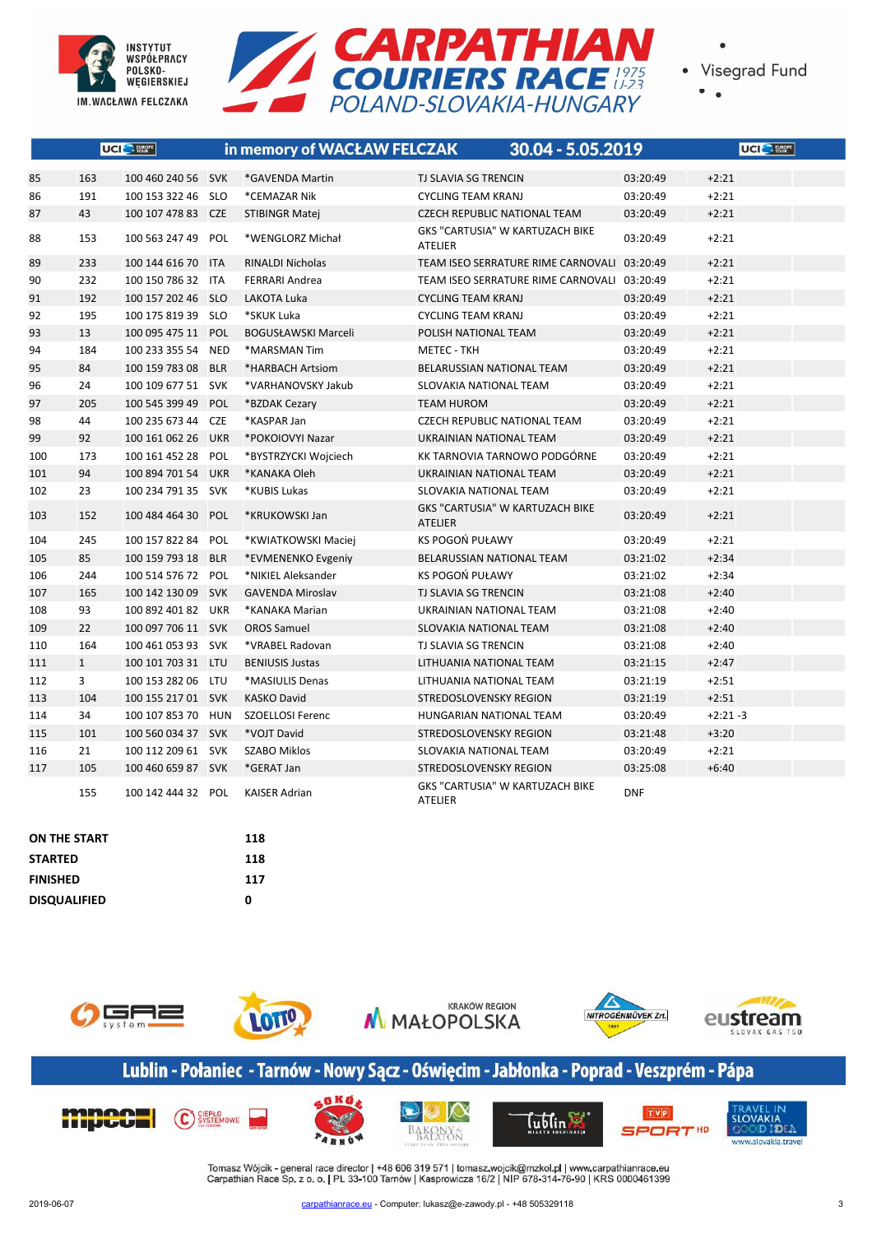INSTYTUT<br>WSPÓŁPRACY POLSKO-WĘGIERSKIEJ IM.WACŁAWA FELCZAKA



• Visegrad Fund

| $\overline{a}$<br>٠ |   |  |
|---------------------|---|--|
| ۰<br>۰              | ÷ |  |

|     |                | UCI <sup>C</sup> FURGPE |            | in memory of WACŁAW FELCZAK | 30.04 - 5.05.2019                                        |            | UCI <sup>O</sup> FURGPE |
|-----|----------------|-------------------------|------------|-----------------------------|----------------------------------------------------------|------------|-------------------------|
| 85  | 163            | 100 460 240 56 SVK      |            | *GAVENDA Martin             | <b>TJ SLAVIA SG TRENCIN</b>                              | 03:20:49   | $+2:21$                 |
| 86  | 191            | 100 153 322 46          | <b>SLO</b> | *CEMAZAR Nik                | <b>CYCLING TEAM KRANJ</b>                                | 03:20:49   | $+2:21$                 |
| 87  | 43             | 100 107 478 83          | <b>CZE</b> | <b>STIBINGR Matej</b>       | <b>CZECH REPUBLIC NATIONAL TEAM</b>                      | 03:20:49   | $+2:21$                 |
| 88  | 153            | 100 563 247 49          | POL        | *WENGLORZ Michał            | <b>GKS "CARTUSIA" W KARTUZACH BIKE</b><br><b>ATELIER</b> | 03:20:49   | $+2:21$                 |
| 89  | 233            | 100 144 616 70          | <b>ITA</b> | <b>RINALDI Nicholas</b>     | TEAM ISEO SERRATURE RIME CARNOVALI 03:20:49              |            | $+2:21$                 |
| 90  | 232            | 100 150 786 32          | ITA        | FERRARI Andrea              | TEAM ISEO SERRATURE RIME CARNOVALI 03:20:49              |            | $+2:21$                 |
| 91  | 192            | 100 157 202 46          | <b>SLO</b> | LAKOTA Luka                 | <b>CYCLING TEAM KRANJ</b>                                | 03:20:49   | $+2:21$                 |
| 92  | 195            | 100 175 819 39          | <b>SLO</b> | *SKUK Luka                  | <b>CYCLING TEAM KRANJ</b>                                | 03:20:49   | $+2:21$                 |
| 93  | 13             | 100 095 475 11          | <b>POL</b> | <b>BOGUSŁAWSKI Marceli</b>  | POLISH NATIONAL TEAM                                     | 03:20:49   | $+2:21$                 |
| 94  | 184            | 100 233 355 54          | <b>NED</b> | *MARSMAN Tim                | METEC - TKH                                              | 03:20:49   | $+2:21$                 |
| 95  | 84             | 100 159 783 08 BLR      |            | *HARBACH Artsiom            | BELARUSSIAN NATIONAL TEAM                                | 03:20:49   | $+2:21$                 |
| 96  | 24             | 100 109 677 51 SVK      |            | *VARHANOVSKY Jakub          | SLOVAKIA NATIONAL TEAM                                   | 03:20:49   | $+2:21$                 |
| 97  | 205            | 100 545 399 49          | <b>POL</b> | *BZDAK Cezary               | <b>TEAM HUROM</b>                                        | 03:20:49   | $+2:21$                 |
| 98  | 44             | 100 235 673 44          | <b>CZE</b> | *KASPAR Jan                 | <b>CZECH REPUBLIC NATIONAL TEAM</b>                      | 03:20:49   | $+2:21$                 |
| 99  | 92             | 100 161 062 26 UKR      |            | *POKOIOVYI Nazar            | UKRAINIAN NATIONAL TEAM                                  | 03:20:49   | $+2:21$                 |
| 100 | 173            | 100 161 452 28          | <b>POL</b> | *BYSTRZYCKI Wojciech        | KK TARNOVIA TARNOWO PODGÓRNE                             | 03:20:49   | $+2:21$                 |
| 101 | 94             | 100 894 701 54 UKR      |            | *KANAKA Oleh                | UKRAINIAN NATIONAL TEAM                                  | 03:20:49   | $+2:21$                 |
| 102 | 23             | 100 234 791 35 SVK      |            | *KUBIS Lukas                | SLOVAKIA NATIONAL TEAM                                   | 03:20:49   | $+2:21$                 |
| 103 | 152            | 100 484 464 30          | <b>POL</b> | *KRUKOWSKI Jan              | GKS "CARTUSIA" W KARTUZACH BIKE<br><b>ATELIER</b>        | 03:20:49   | $+2:21$                 |
| 104 | 245            | 100 157 822 84          | POL        | *KWIATKOWSKI Maciej         | KS POGOŃ PUŁAWY                                          | 03:20:49   | $+2:21$                 |
| 105 | 85             | 100 159 793 18          | <b>BLR</b> | *EVMENENKO Evgeniy          | BELARUSSIAN NATIONAL TEAM                                | 03:21:02   | $+2:34$                 |
| 106 | 244            | 100 514 576 72          | <b>POL</b> | *NIKIEL Aleksander          | KS POGOŃ PUŁAWY                                          | 03:21:02   | $+2:34$                 |
| 107 | 165            | 100 142 130 09          | <b>SVK</b> | <b>GAVENDA Miroslav</b>     | TJ SLAVIA SG TRENCIN                                     | 03:21:08   | $+2:40$                 |
| 108 | 93             | 100 892 401 82          | <b>UKR</b> | *KANAKA Marian              | UKRAINIAN NATIONAL TEAM                                  | 03:21:08   | $+2:40$                 |
| 109 | 22             | 100 097 706 11 SVK      |            | <b>OROS Samuel</b>          | SLOVAKIA NATIONAL TEAM                                   | 03:21:08   | $+2:40$                 |
| 110 | 164            | 100 461 053 93          | <b>SVK</b> | *VRABEL Radovan             | TJ SLAVIA SG TRENCIN                                     | 03:21:08   | $+2:40$                 |
| 111 | $\mathbf{1}$   | 100 101 703 31 LTU      |            | <b>BENIUSIS Justas</b>      | LITHUANIA NATIONAL TEAM                                  | 03:21:15   | $+2:47$                 |
| 112 | $\overline{3}$ | 100 153 282 06 LTU      |            | *MASIULIS Denas             | LITHUANIA NATIONAL TEAM                                  | 03:21:19   | $+2:51$                 |
| 113 | 104            | 100 155 217 01 SVK      |            | <b>KASKO David</b>          | STREDOSLOVENSKY REGION                                   | 03:21:19   | $+2:51$                 |
| 114 | 34             | 100 107 853 70 HUN      |            | SZOELLOSI Ferenc            | HUNGARIAN NATIONAL TEAM                                  | 03:20:49   | $+2:21-3$               |
| 115 | 101            | 100 560 034 37 SVK      |            | *VOJT David                 | STREDOSLOVENSKY REGION                                   | 03:21:48   | $+3:20$                 |
| 116 | 21             | 100 112 209 61          | <b>SVK</b> | <b>SZABO Miklos</b>         | SLOVAKIA NATIONAL TEAM                                   | 03:20:49   | $+2:21$                 |
| 117 | 105            | 100 460 659 87 SVK      |            | *GERAT Jan                  | STREDOSLOVENSKY REGION                                   | 03:25:08   | $+6:40$                 |
|     | 155            | 100 142 444 32          | <b>POL</b> | <b>KAISER Adrian</b>        | GKS "CARTUSIA" W KARTUZACH BIKE<br><b>ATELIER</b>        | <b>DNF</b> |                         |

| ON THE START | 118 |
|--------------|-----|
| STARTED      | 118 |
| FINISHED     | 117 |
| DISQUALIFIED | ŋ   |



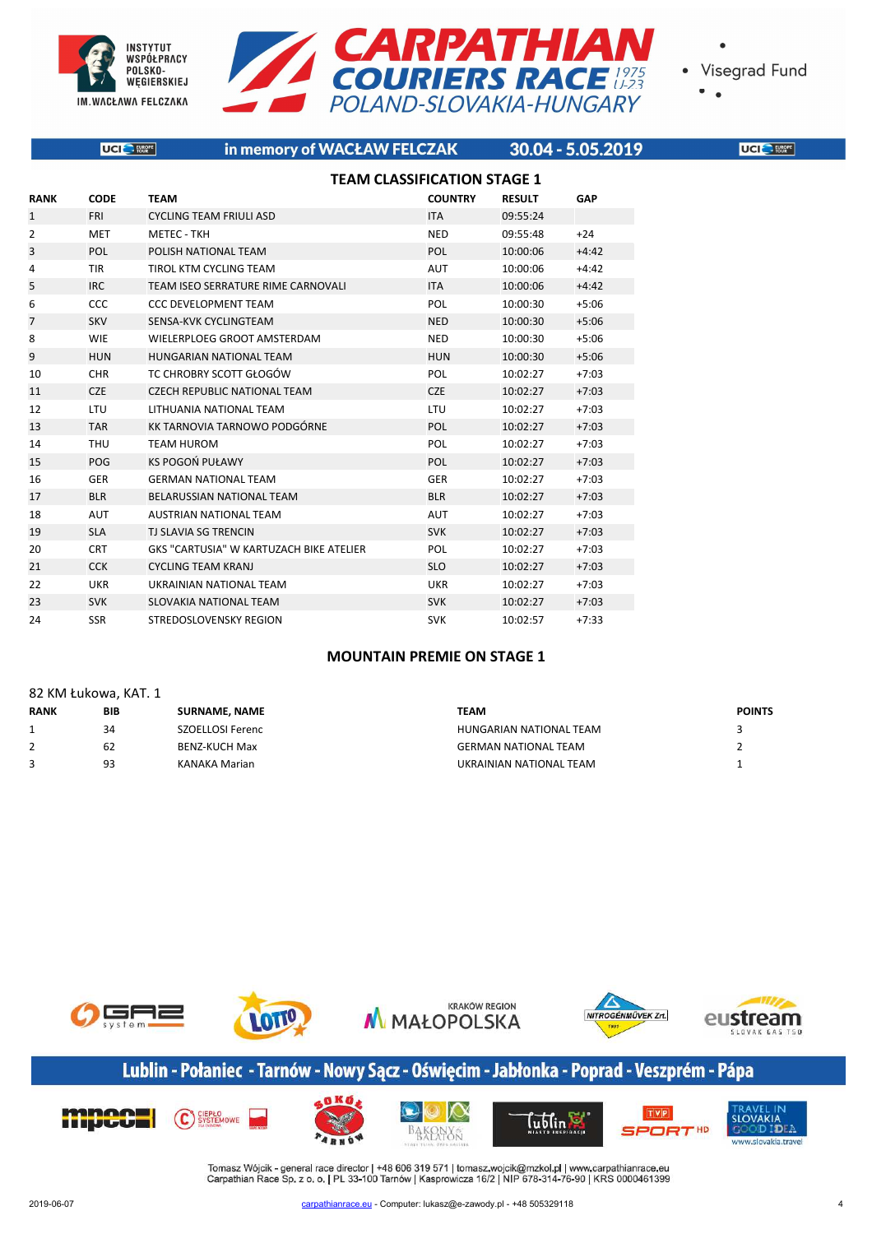



**UCI** SERVICE

 $\bullet$ 

|                | UCI <sup>C</sup> FURGPE | in memory of WACŁAW FELCZAK                    |                                    |               | 30.04 - 5.05.2019 |
|----------------|-------------------------|------------------------------------------------|------------------------------------|---------------|-------------------|
|                |                         |                                                | <b>TEAM CLASSIFICATION STAGE 1</b> |               |                   |
| <b>RANK</b>    | <b>CODE</b>             | <b>TEAM</b>                                    | <b>COUNTRY</b>                     | <b>RESULT</b> | GAP               |
| $\mathbf{1}$   | <b>FRI</b>              | <b>CYCLING TEAM FRIULI ASD</b>                 | <b>ITA</b>                         | 09:55:24      |                   |
| $\overline{2}$ | <b>MET</b>              | <b>METEC - TKH</b>                             | <b>NED</b>                         | 09:55:48      | $+24$             |
| 3              | POL                     | POLISH NATIONAL TEAM                           | POL                                | 10:00:06      | $+4:42$           |
| 4              | <b>TIR</b>              | TIROL KTM CYCLING TEAM                         | <b>AUT</b>                         | 10:00:06      | $+4:42$           |
| 5              | <b>IRC</b>              | TEAM ISEO SERRATURE RIME CARNOVALI             | <b>ITA</b>                         | 10:00:06      | $+4:42$           |
| 6              | <b>CCC</b>              | <b>CCC DEVELOPMENT TEAM</b>                    | POL                                | 10:00:30      | $+5:06$           |
| 7              | <b>SKV</b>              | SENSA-KVK CYCLINGTEAM                          | <b>NED</b>                         | 10:00:30      | $+5:06$           |
| 8              | <b>WIE</b>              | WIELERPLOEG GROOT AMSTERDAM                    | <b>NED</b>                         | 10:00:30      | $+5:06$           |
| 9              | <b>HUN</b>              | HUNGARIAN NATIONAL TEAM                        | <b>HUN</b>                         | 10:00:30      | $+5:06$           |
| 10             | <b>CHR</b>              | TC CHROBRY SCOTT GŁOGÓW                        | POL                                | 10:02:27      | $+7:03$           |
| 11             | <b>CZE</b>              | <b>CZECH REPUBLIC NATIONAL TEAM</b>            | <b>CZE</b>                         | 10:02:27      | $+7:03$           |
| 12             | <b>LTU</b>              | LITHUANIA NATIONAL TEAM                        | LTU                                | 10:02:27      | $+7:03$           |
| 13             | <b>TAR</b>              | KK TARNOVIA TARNOWO PODGÓRNE                   | POL                                | 10:02:27      | $+7:03$           |
| 14             | <b>THU</b>              | <b>TEAM HUROM</b>                              | POL                                | 10:02:27      | $+7:03$           |
| 15             | POG                     | <b>KS POGOŃ PUŁAWY</b>                         | POL                                | 10:02:27      | $+7:03$           |
| 16             | <b>GER</b>              | <b>GERMAN NATIONAL TEAM</b>                    | <b>GER</b>                         | 10:02:27      | $+7:03$           |
| 17             | <b>BLR</b>              | <b>BELARUSSIAN NATIONAL TEAM</b>               | <b>BLR</b>                         | 10:02:27      | $+7:03$           |
| 18             | <b>AUT</b>              | <b>AUSTRIAN NATIONAL TEAM</b>                  | <b>AUT</b>                         | 10:02:27      | $+7:03$           |
| 19             | <b>SLA</b>              | <b>TJ SLAVIA SG TRENCIN</b>                    | <b>SVK</b>                         | 10:02:27      | $+7:03$           |
| 20             | <b>CRT</b>              | <b>GKS "CARTUSIA" W KARTUZACH BIKE ATELIER</b> | POL                                | 10:02:27      | $+7:03$           |
| 21             | <b>CCK</b>              | <b>CYCLING TEAM KRANJ</b>                      | <b>SLO</b>                         | 10:02:27      | $+7:03$           |
| 22             | <b>UKR</b>              | UKRAINIAN NATIONAL TEAM                        | <b>UKR</b>                         | 10:02:27      | $+7:03$           |
| 23             | <b>SVK</b>              | SLOVAKIA NATIONAL TEAM                         | <b>SVK</b>                         | 10:02:27      | $+7:03$           |
| 24             | <b>SSR</b>              | STREDOSLOVENSKY REGION                         | <b>SVK</b>                         | 10:02:57      | $+7:33$           |

# **MOUNTAIN PREMIE ON STAGE 1**

|             | 82 KM Łukowa, KAT. 1 |                      |                             |               |  |  |  |  |
|-------------|----------------------|----------------------|-----------------------------|---------------|--|--|--|--|
| <b>RANK</b> | <b>BIB</b>           | <b>SURNAME, NAME</b> | <b>TEAM</b>                 | <b>POINTS</b> |  |  |  |  |
|             | 34                   | SZOELLOSI Ferenc     | HUNGARIAN NATIONAL TEAM     |               |  |  |  |  |
|             | 62                   | <b>BENZ-KUCH Max</b> | <b>GERMAN NATIONAL TEAM</b> |               |  |  |  |  |
|             | 93                   | KANAKA Marian        | UKRAINIAN NATIONAL TEAM     |               |  |  |  |  |



# Lublin - Połaniec - Tarnów - Nowy Sącz - Oświęcim - Jabłonka - Poprad - Veszprém - Pápa

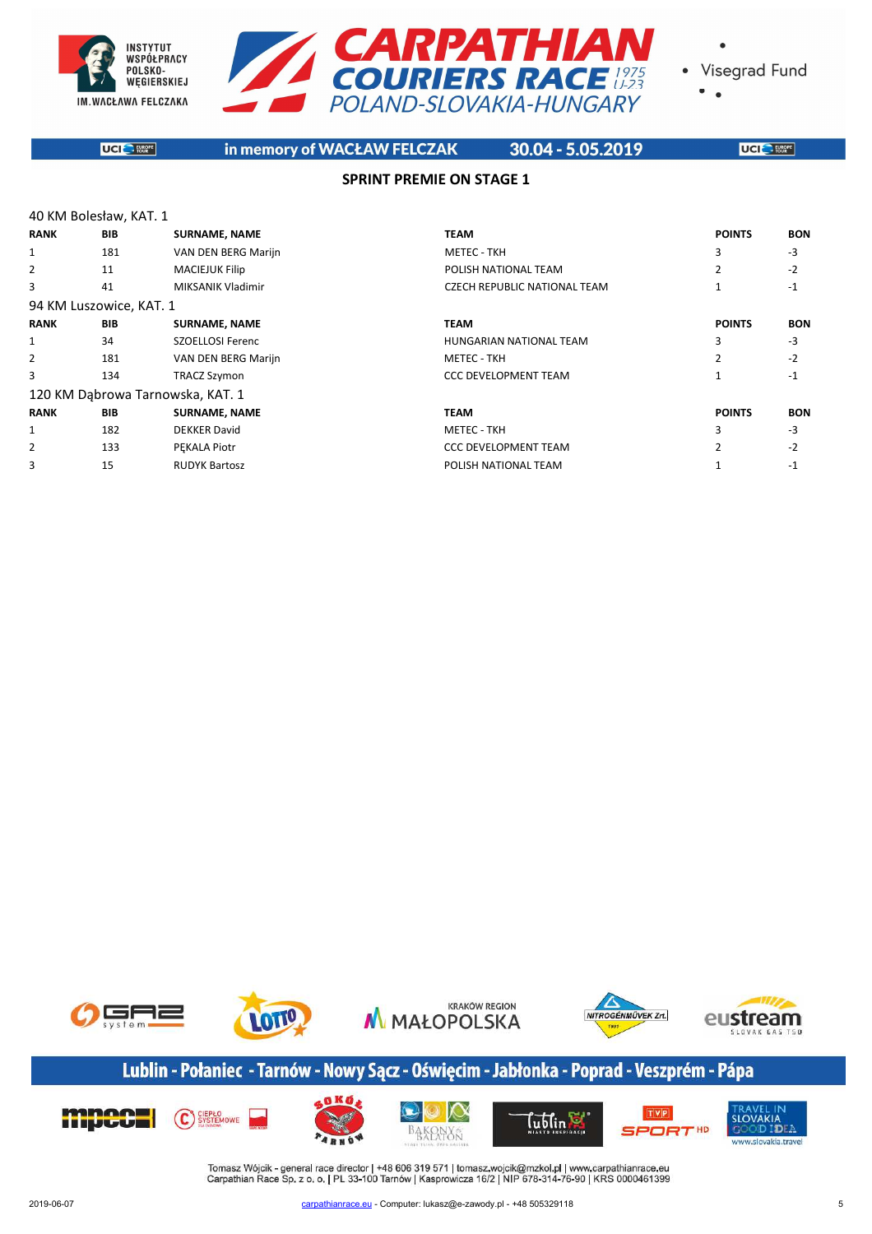



 $\bullet$ 

**UCI** E FURRATE

in memory of WACŁAW FELCZAK

30.04 - 5.05.2019

**UCI** SERVICE

# **SPRINT PREMIE ON STAGE 1**

|             | 40 KM Bolesław, KAT. 1  |                                  |                                     |                |            |
|-------------|-------------------------|----------------------------------|-------------------------------------|----------------|------------|
| <b>RANK</b> | <b>BIB</b>              | <b>SURNAME, NAME</b>             | <b>TEAM</b>                         | <b>POINTS</b>  | <b>BON</b> |
| 1           | 181                     | VAN DEN BERG Marijn              | <b>METEC - TKH</b>                  | 3              | $-3$       |
| 2           | 11                      | <b>MACIEJUK Filip</b>            | POLISH NATIONAL TEAM                | 2              | $-2$       |
| 3           | 41                      | MIKSANIK Vladimir                | <b>CZECH REPUBLIC NATIONAL TEAM</b> |                | $-1$       |
|             | 94 KM Luszowice, KAT. 1 |                                  |                                     |                |            |
| <b>RANK</b> | <b>BIB</b>              | <b>SURNAME, NAME</b>             | <b>TEAM</b>                         | <b>POINTS</b>  | <b>BON</b> |
| 1           | 34                      | <b>SZOELLOSI Ferenc</b>          | HUNGARIAN NATIONAL TEAM             | 3              | $-3$       |
| 2           | 181                     | VAN DEN BERG Marijn              | METEC - TKH                         | $\mathcal{P}$  | $-2$       |
| 3           | 134                     | <b>TRACZ Szymon</b>              | <b>CCC DEVELOPMENT TEAM</b>         |                | $-1$       |
|             |                         | 120 KM Dabrowa Tarnowska, KAT. 1 |                                     |                |            |
| <b>RANK</b> | <b>BIB</b>              | <b>SURNAME, NAME</b>             | <b>TEAM</b>                         | <b>POINTS</b>  | <b>BON</b> |
| 1           | 182                     | <b>DEKKER David</b>              | <b>METEC - TKH</b>                  | 3              | $-3$       |
| 2           | 133                     | PEKALA Piotr                     | <b>CCC DEVELOPMENT TEAM</b>         | $\overline{2}$ | $-2$       |
| 3           | 15                      | <b>RUDYK Bartosz</b>             | POLISH NATIONAL TEAM                | $\mathbf{1}$   | $-1$       |



# Lublin - Połaniec - Tarnów - Nowy Sącz - Oświęcim - Jabłonka - Poprad - Veszprém - Pápa

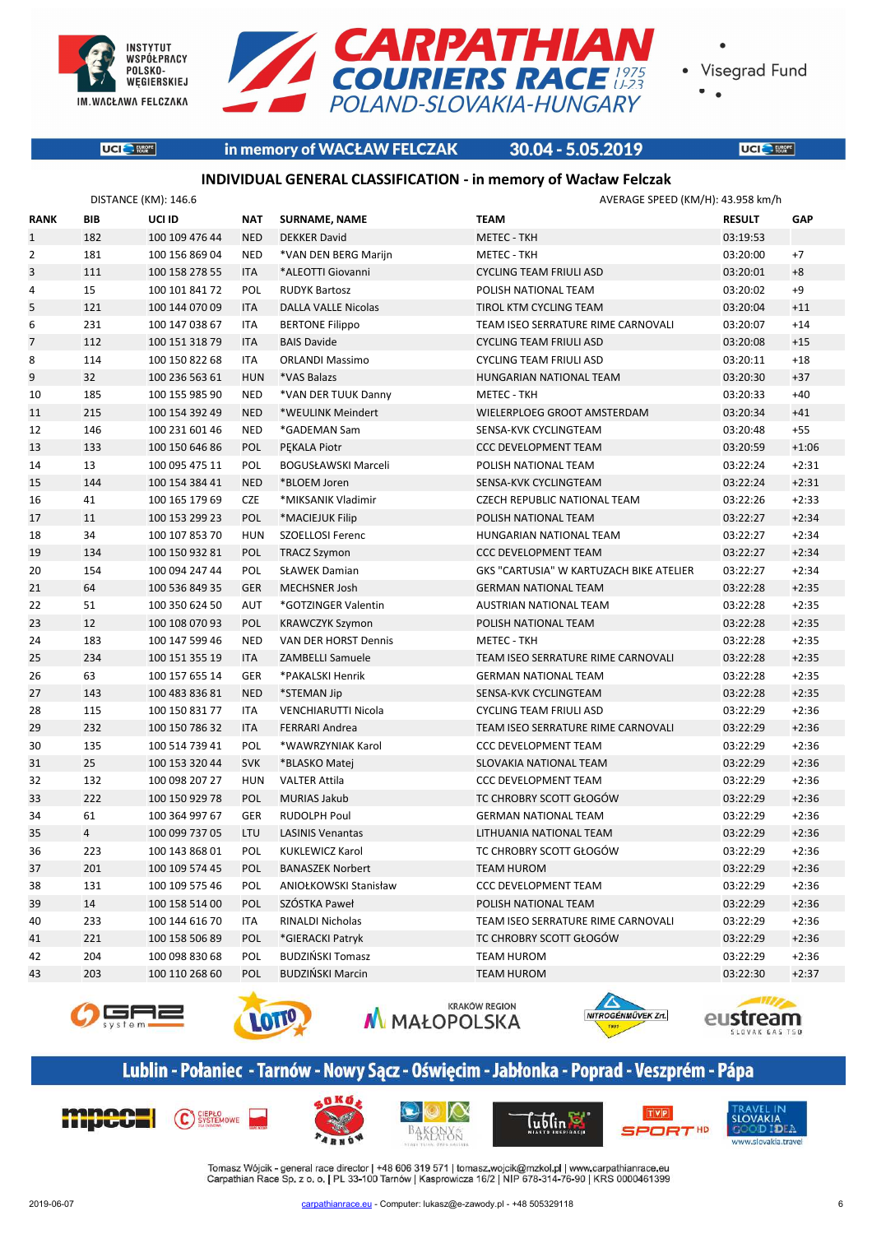

**UCI** EUROPE



Visegrad Fund

# in memory of WACŁAW FELCZAK

# 30.04 - 5.05.2019

**UCI** SERVICE

# **INDIVIDUAL GENERAL CLASSIFICATION - in memory of Wacław Felczak**

|                |                | DISTANCE (KM): 146.6 |            |                         | AVERAGE SPEED (KM/H): 43.958 km/h       |               |         |
|----------------|----------------|----------------------|------------|-------------------------|-----------------------------------------|---------------|---------|
| <b>RANK</b>    | <b>BIB</b>     | UCI ID               | NAT        | <b>SURNAME, NAME</b>    | <b>TEAM</b>                             | <b>RESULT</b> | GAP     |
| $\mathbf{1}$   | 182            | 100 109 476 44       | <b>NED</b> | <b>DEKKER David</b>     | <b>METEC - TKH</b>                      | 03:19:53      |         |
| $\overline{2}$ | 181            | 100 156 869 04       | <b>NED</b> | *VAN DEN BERG Marijn    | <b>METEC - TKH</b>                      | 03:20:00      | $+7$    |
| 3              | 111            | 100 158 278 55       | <b>ITA</b> | *ALEOTTI Giovanni       | <b>CYCLING TEAM FRIULI ASD</b>          | 03:20:01      | $+8$    |
| 4              | 15             | 100 101 841 72       | POL        | <b>RUDYK Bartosz</b>    | POLISH NATIONAL TEAM                    | 03:20:02      | $+9$    |
| 5              | 121            | 100 144 070 09       | <b>ITA</b> | DALLA VALLE Nicolas     | TIROL KTM CYCLING TEAM                  | 03:20:04      | $+11$   |
| 6              | 231            | 100 147 038 67       | <b>ITA</b> | <b>BERTONE Filippo</b>  | TEAM ISEO SERRATURE RIME CARNOVALI      | 03:20:07      | $+14$   |
| $\overline{7}$ | 112            | 100 151 318 79       | <b>ITA</b> | <b>BAIS Davide</b>      | <b>CYCLING TEAM FRIULI ASD</b>          | 03:20:08      | $+15$   |
| 8              | 114            | 100 150 822 68       | ITA        | <b>ORLANDI Massimo</b>  | <b>CYCLING TEAM FRIULI ASD</b>          | 03:20:11      | $+18$   |
| 9              | 32             | 100 236 563 61       | <b>HUN</b> | *VAS Balazs             | HUNGARIAN NATIONAL TEAM                 | 03:20:30      | $+37$   |
| 10             | 185            | 100 155 985 90       | <b>NED</b> | *VAN DER TUUK Danny     | <b>METEC - TKH</b>                      | 03:20:33      | $+40$   |
| 11             | 215            | 100 154 392 49       | <b>NED</b> | *WEULINK Meindert       | WIELERPLOEG GROOT AMSTERDAM             | 03:20:34      | $+41$   |
| 12             | 146            | 100 231 601 46       | <b>NED</b> | *GADEMAN Sam            | SENSA-KVK CYCLINGTEAM                   | 03:20:48      | $+55$   |
| 13             | 133            | 100 150 646 86       | POL        | PEKALA Piotr            | <b>CCC DEVELOPMENT TEAM</b>             | 03:20:59      | $+1:06$ |
| 14             | 13             | 100 095 475 11       | POL        | BOGUSŁAWSKI Marceli     | POLISH NATIONAL TEAM                    | 03:22:24      | $+2:31$ |
| 15             | 144            | 100 154 384 41       | <b>NED</b> | *BLOEM Joren            | SENSA-KVK CYCLINGTEAM                   | 03:22:24      | $+2:31$ |
| 16             | 41             | 100 165 179 69       | <b>CZE</b> | *MIKSANIK Vladimir      | <b>CZECH REPUBLIC NATIONAL TEAM</b>     | 03:22:26      | $+2:33$ |
| 17             | 11             | 100 153 299 23       | POL        | *MACIEJUK Filip         | POLISH NATIONAL TEAM                    | 03:22:27      | $+2:34$ |
| 18             | 34             | 100 107 853 70       | <b>HUN</b> | SZOELLOSI Ferenc        | HUNGARIAN NATIONAL TEAM                 | 03:22:27      | $+2:34$ |
| 19             | 134            | 100 150 932 81       | POL        | <b>TRACZ Szymon</b>     | <b>CCC DEVELOPMENT TEAM</b>             | 03:22:27      | $+2:34$ |
| 20             | 154            | 100 094 247 44       | POL        | <b>SŁAWEK Damian</b>    | GKS "CARTUSIA" W KARTUZACH BIKE ATELIER | 03:22:27      | $+2:34$ |
| 21             | 64             | 100 536 849 35       | <b>GER</b> | <b>MECHSNER Josh</b>    | <b>GERMAN NATIONAL TEAM</b>             | 03:22:28      | $+2:35$ |
| 22             | 51             | 100 350 624 50       | <b>AUT</b> | *GOTZINGER Valentin     | AUSTRIAN NATIONAL TEAM                  | 03:22:28      | $+2:35$ |
| 23             | 12             | 100 108 070 93       | POL        | <b>KRAWCZYK Szymon</b>  | POLISH NATIONAL TEAM                    | 03:22:28      | $+2:35$ |
| 24             | 183            | 100 147 599 46       | <b>NED</b> | VAN DER HORST Dennis    | <b>METEC - TKH</b>                      | 03:22:28      | $+2:35$ |
| 25             | 234            | 100 151 355 19       | <b>ITA</b> | ZAMBELLI Samuele        | TEAM ISEO SERRATURE RIME CARNOVALI      | 03:22:28      | $+2:35$ |
| 26             | 63             | 100 157 655 14       | GER        | *PAKALSKI Henrik        | <b>GERMAN NATIONAL TEAM</b>             | 03:22:28      | $+2:35$ |
| 27             | 143            | 100 483 836 81       | <b>NED</b> | *STEMAN Jip             | SENSA-KVK CYCLINGTEAM                   | 03:22:28      | $+2:35$ |
| 28             | 115            | 100 150 831 77       | ITA        | VENCHIARUTTI Nicola     | <b>CYCLING TEAM FRIULI ASD</b>          | 03:22:29      | $+2:36$ |
| 29             | 232            | 100 150 786 32       | ITA        | FERRARI Andrea          | TEAM ISEO SERRATURE RIME CARNOVALI      | 03:22:29      | $+2:36$ |
| 30             | 135            | 100 514 739 41       | POL        | *WAWRZYNIAK Karol       | <b>CCC DEVELOPMENT TEAM</b>             | 03:22:29      | $+2:36$ |
| 31             | 25             | 100 153 320 44       | <b>SVK</b> | *BLASKO Matej           | SLOVAKIA NATIONAL TEAM                  | 03:22:29      | $+2:36$ |
| 32             | 132            | 100 098 207 27       | HUN        | <b>VALTER Attila</b>    | <b>CCC DEVELOPMENT TEAM</b>             | 03:22:29      | $+2:36$ |
| 33             | 222            | 100 150 929 78       | POL        | <b>MURIAS Jakub</b>     | TC CHROBRY SCOTT GŁOGÓW                 | 03:22:29      | $+2:36$ |
| 34             | 61             | 100 364 997 67       | GER        | RUDOLPH Poul            | <b>GERMAN NATIONAL TEAM</b>             | 03:22:29      | $+2:36$ |
| 35             | $\overline{4}$ | 100 099 737 05       | LTU        | <b>LASINIS Venantas</b> | LITHUANIA NATIONAL TEAM                 | 03:22:29      | $+2:36$ |
| $36\,$         | 223            | 100 143 868 01       | POL        | KUKLEWICZ Karol         | TC CHROBRY SCOTT GŁOGÓW                 | 03:22:29      | $+2:36$ |
| 37             | 201            | 100 109 574 45       | POL        | <b>BANASZEK Norbert</b> | TEAM HUROM                              | 03:22:29      | $+2:36$ |
| 38             | 131            | 100 109 575 46       | POL        | ANIOŁKOWSKI Stanisław   | <b>CCC DEVELOPMENT TEAM</b>             | 03:22:29      | $+2:36$ |
| 39             | 14             | 100 158 514 00       | POL        | SZÓSTKA Paweł           | POLISH NATIONAL TEAM                    | 03:22:29      | $+2:36$ |
| 40             | 233            | 100 144 616 70       | ITA        | RINALDI Nicholas        | TEAM ISEO SERRATURE RIME CARNOVALI      | 03:22:29      | $+2:36$ |
| 41             | 221            | 100 158 506 89       | POL        | *GIERACKI Patryk        | TC CHROBRY SCOTT GŁOGÓW                 | 03:22:29      | $+2:36$ |
| 42             | 204            | 100 098 830 68       | POL        | <b>BUDZIŃSKI Tomasz</b> | <b>TEAM HUROM</b>                       | 03:22:29      | $+2:36$ |
| 43             | 203            | 100 110 268 60       | POL        | <b>BUDZIŃSKI Marcin</b> | <b>TEAM HUROM</b>                       | 03:22:30      | $+2:37$ |
|                |                |                      |            |                         |                                         |               |         |











# Lublin - Połaniec - Tarnów - Nowy Sącz - Oświęcim - Jabłonka - Poprad - Veszprém - Pápa











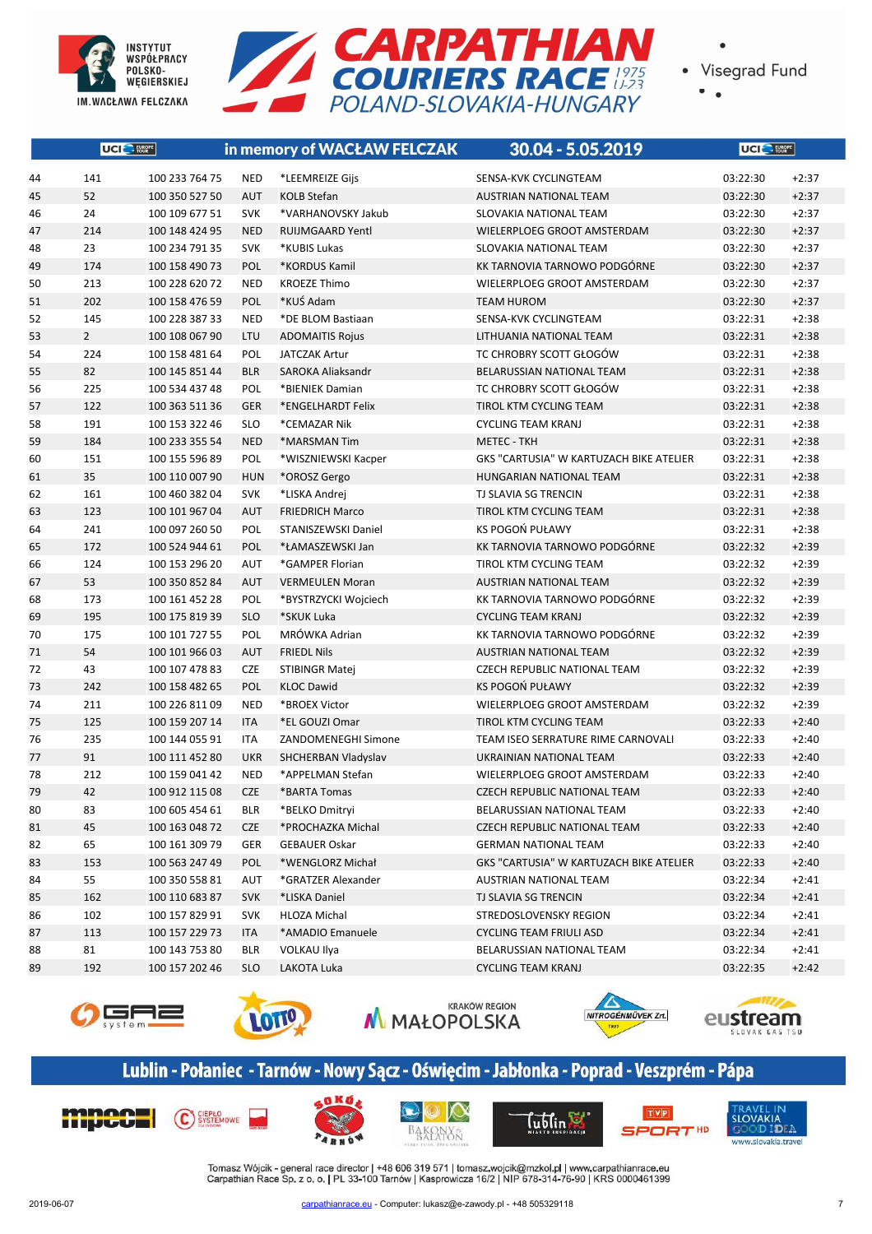



 $\bullet$ 

|    | UCI <sup>S</sup> FURPE |                |            | in memory of WACŁAW FELCZAK | 30.04 - 5.05.2019                       | UCI <sup>O</sup> FURGRE |         |
|----|------------------------|----------------|------------|-----------------------------|-----------------------------------------|-------------------------|---------|
| 44 | 141                    | 100 233 764 75 | <b>NED</b> | *LEEMREIZE Gijs             | SENSA-KVK CYCLINGTEAM                   | 03:22:30                | $+2:37$ |
| 45 | 52                     | 100 350 527 50 | <b>AUT</b> | <b>KOLB Stefan</b>          | <b>AUSTRIAN NATIONAL TEAM</b>           | 03:22:30                | $+2:37$ |
| 46 | 24                     | 100 109 677 51 | <b>SVK</b> | *VARHANOVSKY Jakub          | SLOVAKIA NATIONAL TEAM                  | 03:22:30                | $+2:37$ |
| 47 | 214                    | 100 148 424 95 | <b>NED</b> | <b>RUIJMGAARD Yentl</b>     | WIELERPLOEG GROOT AMSTERDAM             | 03:22:30                | $+2:37$ |
| 48 | 23                     | 100 234 791 35 | <b>SVK</b> | *KUBIS Lukas                | SLOVAKIA NATIONAL TEAM                  | 03:22:30                | $+2:37$ |
| 49 | 174                    | 100 158 490 73 | POL        | *KORDUS Kamil               | KK TARNOVIA TARNOWO PODGÓRNE            | 03:22:30                | $+2:37$ |
| 50 | 213                    | 100 228 620 72 | <b>NED</b> | <b>KROEZE Thimo</b>         | WIELERPLOEG GROOT AMSTERDAM             | 03:22:30                | $+2:37$ |
| 51 | 202                    | 100 158 476 59 | POL        | *KUŚ Adam                   | <b>TEAM HUROM</b>                       | 03:22:30                | $+2:37$ |
| 52 | 145                    | 100 228 387 33 | <b>NED</b> | *DE BLOM Bastiaan           | SENSA-KVK CYCLINGTEAM                   | 03:22:31                | $+2:38$ |
| 53 | $\overline{2}$         | 100 108 067 90 | LTU        | <b>ADOMAITIS Rojus</b>      | LITHUANIA NATIONAL TEAM                 | 03:22:31                | $+2:38$ |
| 54 | 224                    | 100 158 481 64 | POL        | <b>JATCZAK Artur</b>        | TC CHROBRY SCOTT GŁOGÓW                 | 03:22:31                | $+2:38$ |
|    | 82                     |                |            |                             |                                         |                         |         |
| 55 |                        | 100 145 851 44 | <b>BLR</b> | SAROKA Aliaksandr           | BELARUSSIAN NATIONAL TEAM               | 03:22:31                | $+2:38$ |
| 56 | 225                    | 100 534 437 48 | POL        | *BIENIEK Damian             | TC CHROBRY SCOTT GŁOGÓW                 | 03:22:31                | $+2:38$ |
| 57 | 122                    | 100 363 511 36 | <b>GER</b> | *ENGELHARDT Felix           | TIROL KTM CYCLING TEAM                  | 03:22:31                | $+2:38$ |
| 58 | 191                    | 100 153 322 46 | <b>SLO</b> | *CEMAZAR Nik                | <b>CYCLING TEAM KRANJ</b>               | 03:22:31                | $+2:38$ |
| 59 | 184                    | 100 233 355 54 | <b>NED</b> | *MARSMAN Tim                | <b>METEC - TKH</b>                      | 03:22:31                | $+2:38$ |
| 60 | 151                    | 100 155 596 89 | POL        | *WISZNIEWSKI Kacper         | GKS "CARTUSIA" W KARTUZACH BIKE ATELIER | 03:22:31                | $+2:38$ |
| 61 | 35                     | 100 110 007 90 | <b>HUN</b> | *OROSZ Gergo                | <b>HUNGARIAN NATIONAL TEAM</b>          | 03:22:31                | $+2:38$ |
| 62 | 161                    | 100 460 382 04 | <b>SVK</b> | *LISKA Andrej               | TJ SLAVIA SG TRENCIN                    | 03:22:31                | $+2:38$ |
| 63 | 123                    | 100 101 967 04 | <b>AUT</b> | <b>FRIEDRICH Marco</b>      | TIROL KTM CYCLING TEAM                  | 03:22:31                | $+2:38$ |
| 64 | 241                    | 100 097 260 50 | POL        | <b>STANISZEWSKI Daniel</b>  | KS POGOŃ PUŁAWY                         | 03:22:31                | $+2:38$ |
| 65 | 172                    | 100 524 944 61 | POL        | *ŁAMASZEWSKI Jan            | KK TARNOVIA TARNOWO PODGÓRNE            | 03:22:32                | $+2:39$ |
| 66 | 124                    | 100 153 296 20 | AUT        | *GAMPER Florian             | TIROL KTM CYCLING TEAM                  | 03:22:32                | $+2:39$ |
| 67 | 53                     | 100 350 852 84 | <b>AUT</b> | <b>VERMEULEN Moran</b>      | AUSTRIAN NATIONAL TEAM                  | 03:22:32                | $+2:39$ |
| 68 | 173                    | 100 161 452 28 | POL        | *BYSTRZYCKI Wojciech        | KK TARNOVIA TARNOWO PODGÓRNE            | 03:22:32                | $+2:39$ |
| 69 | 195                    | 100 175 819 39 | <b>SLO</b> | *SKUK Luka                  | <b>CYCLING TEAM KRANJ</b>               | 03:22:32                | $+2:39$ |
| 70 | 175                    | 100 101 727 55 | POL        | MRÓWKA Adrian               | KK TARNOVIA TARNOWO PODGÓRNE            | 03:22:32                | $+2:39$ |
| 71 | 54                     | 100 101 966 03 | <b>AUT</b> | <b>FRIEDL Nils</b>          | AUSTRIAN NATIONAL TEAM                  | 03:22:32                | $+2:39$ |
| 72 | 43                     | 100 107 478 83 | CZE        | <b>STIBINGR Matej</b>       | <b>CZECH REPUBLIC NATIONAL TEAM</b>     | 03:22:32                | $+2:39$ |
| 73 | 242                    | 100 158 482 65 | POL        | <b>KLOC Dawid</b>           | KS POGOŃ PUŁAWY                         | 03:22:32                | $+2:39$ |
| 74 | 211                    | 100 226 811 09 | <b>NED</b> | *BROEX Victor               | WIELERPLOEG GROOT AMSTERDAM             | 03:22:32                | $+2:39$ |
| 75 | 125                    | 100 159 207 14 | <b>ITA</b> | *EL GOUZI Omar              | TIROL KTM CYCLING TEAM                  | 03:22:33                | $+2:40$ |
| 76 | 235                    | 100 144 055 91 | ITA        | ZANDOMENEGHI Simone         | TEAM ISEO SERRATURE RIME CARNOVALI      | 03:22:33                | $+2:40$ |
| 77 | 91                     | 100 111 452 80 | <b>UKR</b> | SHCHERBAN Vladyslav         | UKRAINIAN NATIONAL TEAM                 | 03:22:33                | $+2:40$ |
| 78 | 212                    | 100 159 041 42 | <b>NED</b> | *APPELMAN Stefan            | WIELERPLOEG GROOT AMSTERDAM             | 03:22:33                | $+2:40$ |
| 79 | 42                     | 100 912 115 08 | <b>CZE</b> | *BARTA Tomas                | <b>CZECH REPUBLIC NATIONAL TEAM</b>     | 03:22:33                | $+2:40$ |
| 80 | 83                     | 100 605 454 61 | BLR        | *BELKO Dmitryi              | BELARUSSIAN NATIONAL TEAM               | 03:22:33                | $+2:40$ |
| 81 | 45                     | 100 163 048 72 | <b>CZE</b> | *PROCHAZKA Michal           | <b>CZECH REPUBLIC NATIONAL TEAM</b>     | 03:22:33                | $+2:40$ |
| 82 | 65                     | 100 161 309 79 | GER        | <b>GEBAUER Oskar</b>        | <b>GERMAN NATIONAL TEAM</b>             | 03:22:33                | $+2:40$ |
| 83 | 153                    | 100 563 247 49 | <b>POL</b> | *WENGLORZ Michał            | GKS "CARTUSIA" W KARTUZACH BIKE ATELIER | 03:22:33                | $+2:40$ |
| 84 | 55                     | 100 350 558 81 | AUT        | *GRATZER Alexander          | AUSTRIAN NATIONAL TEAM                  | 03:22:34                | $+2:41$ |
| 85 | 162                    | 100 110 683 87 | <b>SVK</b> | *LISKA Daniel               | TJ SLAVIA SG TRENCIN                    | 03:22:34                | $+2:41$ |
| 86 | 102                    | 100 157 829 91 | <b>SVK</b> | HLOZA Michal                | STREDOSLOVENSKY REGION                  | 03:22:34                | $+2:41$ |
| 87 | 113                    | 100 157 229 73 | ITA        | *AMADIO Emanuele            | <b>CYCLING TEAM FRIULI ASD</b>          | 03:22:34                | $+2:41$ |
| 88 | 81                     | 100 143 753 80 | <b>BLR</b> | VOLKAU Ilya                 | BELARUSSIAN NATIONAL TEAM               | 03:22:34                | $+2:41$ |
|    |                        |                |            |                             |                                         |                         |         |
| 89 | 192                    | 100 157 202 46 | <b>SLO</b> | LAKOTA Luka                 | <b>CYCLING TEAM KRANJ</b>               | 03:22:35                | $+2:42$ |











# Lublin - Połaniec - Tarnów - Nowy Sącz - Oświęcim - Jabłonka - Poprad - Veszprém - Pápa











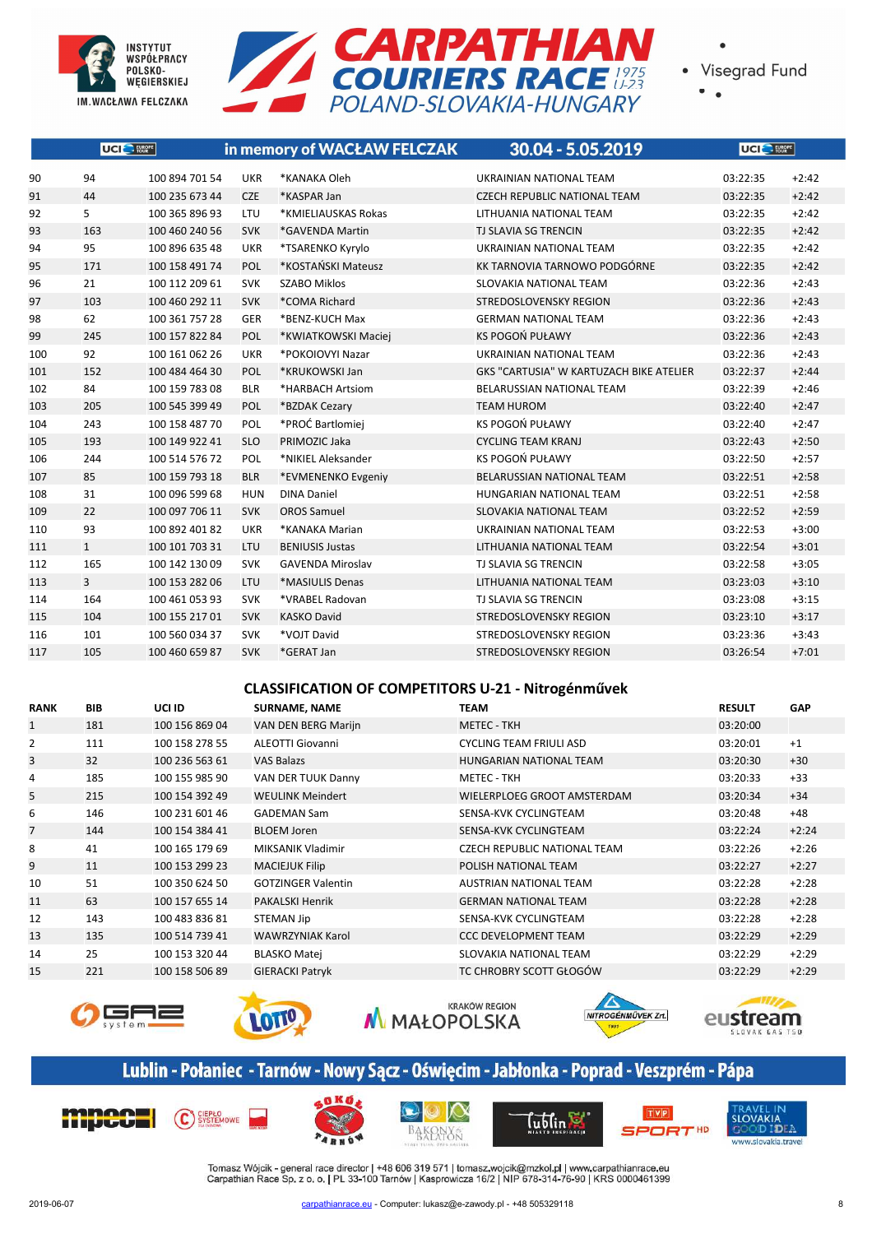



|        | ÷.,<br>۰. |
|--------|-----------|
| ٠<br>۰ |           |

|     |              | UCI <sup>O</sup> FURRE |            | in memory of WACŁAW FELCZAK | 30.04 - 5.05.2019                              | UCI <sup>O</sup> FURPE |         |
|-----|--------------|------------------------|------------|-----------------------------|------------------------------------------------|------------------------|---------|
| 90  | 94           | 100 894 701 54         | <b>UKR</b> | *KANAKA Oleh                | UKRAINIAN NATIONAL TEAM                        | 03:22:35               | $+2:42$ |
| 91  | 44           | 100 235 673 44         | <b>CZE</b> | *KASPAR Jan                 | <b>CZECH REPUBLIC NATIONAL TEAM</b>            | 03:22:35               | $+2:42$ |
| 92  | 5            | 100 365 896 93         | <b>LTU</b> | *KMIELIAUSKAS Rokas         | LITHUANIA NATIONAL TEAM                        | 03:22:35               | $+2:42$ |
| 93  | 163          | 100 460 240 56         | <b>SVK</b> | *GAVENDA Martin             | <b>TJ SLAVIA SG TRENCIN</b>                    | 03:22:35               | $+2:42$ |
| 94  | 95           | 100 896 635 48         | <b>UKR</b> | *TSARENKO Kyrylo            | UKRAINIAN NATIONAL TEAM                        | 03:22:35               | $+2:42$ |
| 95  | 171          | 100 158 491 74         | POL        | *KOSTAŃSKI Mateusz          | KK TARNOVIA TARNOWO PODGÓRNE                   | 03:22:35               | $+2:42$ |
| 96  | 21           | 100 112 209 61         | <b>SVK</b> | <b>SZABO Miklos</b>         | SLOVAKIA NATIONAL TEAM                         | 03:22:36               | $+2:43$ |
| 97  | 103          | 100 460 292 11         | <b>SVK</b> | *COMA Richard               | STREDOSLOVENSKY REGION                         | 03:22:36               | $+2:43$ |
| 98  | 62           | 100 361 757 28         | GER        | *BENZ-KUCH Max              | <b>GERMAN NATIONAL TEAM</b>                    | 03:22:36               | $+2:43$ |
| 99  | 245          | 100 157 822 84         | POL        | *KWIATKOWSKI Maciej         | KS POGOŃ PUŁAWY                                | 03:22:36               | $+2:43$ |
| 100 | 92           | 100 161 062 26         | <b>UKR</b> | *POKOIOVYI Nazar            | UKRAINIAN NATIONAL TEAM                        | 03:22:36               | $+2:43$ |
| 101 | 152          | 100 484 464 30         | POL        | *KRUKOWSKI Jan              | <b>GKS "CARTUSIA" W KARTUZACH BIKE ATELIER</b> | 03:22:37               | $+2:44$ |
| 102 | 84           | 100 159 783 08         | <b>BLR</b> | *HARBACH Artsiom            | BELARUSSIAN NATIONAL TEAM                      | 03:22:39               | $+2:46$ |
| 103 | 205          | 100 545 399 49         | <b>POL</b> | *BZDAK Cezary               | <b>TEAM HUROM</b>                              | 03:22:40               | $+2:47$ |
| 104 | 243          | 100 158 487 70         | POL        | *PROĆ Bartlomiej            | KS POGOŃ PUŁAWY                                | 03:22:40               | $+2:47$ |
| 105 | 193          | 100 149 922 41         | <b>SLO</b> | PRIMOZIC Jaka               | <b>CYCLING TEAM KRANJ</b>                      | 03:22:43               | $+2:50$ |
| 106 | 244          | 100 514 576 72         | POL        | *NIKIEL Aleksander          | KS POGOŃ PUŁAWY                                | 03:22:50               | $+2:57$ |
| 107 | 85           | 100 159 793 18         | <b>BLR</b> | *EVMENENKO Evgeniy          | BELARUSSIAN NATIONAL TEAM                      | 03:22:51               | $+2:58$ |
| 108 | 31           | 100 096 599 68         | <b>HUN</b> | <b>DINA Daniel</b>          | HUNGARIAN NATIONAL TEAM                        | 03:22:51               | $+2:58$ |
| 109 | 22           | 100 097 706 11         | <b>SVK</b> | <b>OROS Samuel</b>          | SLOVAKIA NATIONAL TEAM                         | 03:22:52               | $+2:59$ |
| 110 | 93           | 100 892 401 82         | <b>UKR</b> | *KANAKA Marian              | UKRAINIAN NATIONAL TEAM                        | 03:22:53               | $+3:00$ |
| 111 | $\mathbf{1}$ | 100 101 703 31         | <b>LTU</b> | <b>BENIUSIS Justas</b>      | LITHUANIA NATIONAL TEAM                        | 03:22:54               | $+3:01$ |
| 112 | 165          | 100 142 130 09         | <b>SVK</b> | <b>GAVENDA Miroslav</b>     | <b>TJ SLAVIA SG TRENCIN</b>                    | 03:22:58               | $+3:05$ |
| 113 | 3            | 100 153 282 06         | LTU        | *MASIULIS Denas             | LITHUANIA NATIONAL TEAM                        | 03:23:03               | $+3:10$ |
| 114 | 164          | 100 461 053 93         | <b>SVK</b> | *VRABEL Radovan             | TJ SLAVIA SG TRENCIN                           | 03:23:08               | $+3:15$ |
| 115 | 104          | 100 155 217 01         | <b>SVK</b> | <b>KASKO David</b>          | STREDOSLOVENSKY REGION                         | 03:23:10               | $+3:17$ |
| 116 | 101          | 100 560 034 37         | <b>SVK</b> | *VOJT David                 | STREDOSLOVENSKY REGION                         | 03:23:36               | $+3:43$ |
| 117 | 105          | 100 460 659 87         | <b>SVK</b> | *GERAT Jan                  | STREDOSLOVENSKY REGION                         | 03:26:54               | $+7:01$ |
|     |              |                        |            |                             |                                                |                        |         |

# **CLASSIFICATION OF COMPETITORS U-21 - Nitrogénművek**

| <b>RANK</b> | <b>BIB</b> | UCI ID         | <b>SURNAME, NAME</b>      | <b>TEAM</b>                         | <b>RESULT</b> | <b>GAP</b> |
|-------------|------------|----------------|---------------------------|-------------------------------------|---------------|------------|
| 1           | 181        | 100 156 869 04 | VAN DEN BERG Marijn       | <b>METEC - TKH</b>                  | 03:20:00      |            |
| 2           | 111        | 100 158 278 55 | ALEOTTI Giovanni          | <b>CYCLING TEAM FRIULI ASD</b>      | 03:20:01      | $+1$       |
| 3           | 32         | 100 236 563 61 | <b>VAS Balazs</b>         | HUNGARIAN NATIONAL TEAM             | 03:20:30      | $+30$      |
| 4           | 185        | 100 155 985 90 | VAN DER TUUK Danny        | <b>METEC - TKH</b>                  | 03:20:33      | $+33$      |
| 5           | 215        | 100 154 392 49 | <b>WEULINK Meindert</b>   | WIELERPLOEG GROOT AMSTERDAM         | 03:20:34      | $+34$      |
| 6           | 146        | 100 231 601 46 | <b>GADEMAN Sam</b>        | SENSA-KVK CYCLINGTEAM               | 03:20:48      | $+48$      |
| 7           | 144        | 100 154 384 41 | <b>BLOEM Joren</b>        | SENSA-KVK CYCLINGTEAM               | 03:22:24      | $+2:24$    |
| 8           | 41         | 100 165 179 69 | MIKSANIK Vladimir         | <b>CZECH REPUBLIC NATIONAL TEAM</b> | 03:22:26      | $+2:26$    |
| 9           | 11         | 100 153 299 23 | <b>MACIEJUK Filip</b>     | POLISH NATIONAL TEAM                | 03:22:27      | $+2:27$    |
| 10          | 51         | 100 350 624 50 | <b>GOTZINGER Valentin</b> | <b>AUSTRIAN NATIONAL TEAM</b>       | 03:22:28      | $+2:28$    |
| 11          | 63         | 100 157 655 14 | PAKALSKI Henrik           | <b>GERMAN NATIONAL TEAM</b>         | 03:22:28      | $+2:28$    |
| 12          | 143        | 100 483 836 81 | STEMAN Jip                | SENSA-KVK CYCLINGTEAM               | 03:22:28      | $+2:28$    |
| 13          | 135        | 100 514 739 41 | <b>WAWRZYNIAK Karol</b>   | <b>CCC DEVELOPMENT TEAM</b>         | 03:22:29      | $+2:29$    |
| 14          | 25         | 100 153 320 44 | <b>BLASKO Matei</b>       | SLOVAKIA NATIONAL TEAM              | 03:22:29      | $+2:29$    |
| 15          | 221        | 100 158 506 89 | <b>GIERACKI Patryk</b>    | TC CHROBRY SCOTT GŁOGÓW             | 03:22:29      | $+2:29$    |











# Lublin - Połaniec - Tarnów - Nowy Sącz - Oświęcim - Jabłonka - Poprad - Veszprém - Pápa











**SLOVAKIA** ïΰ www.slovakia.trave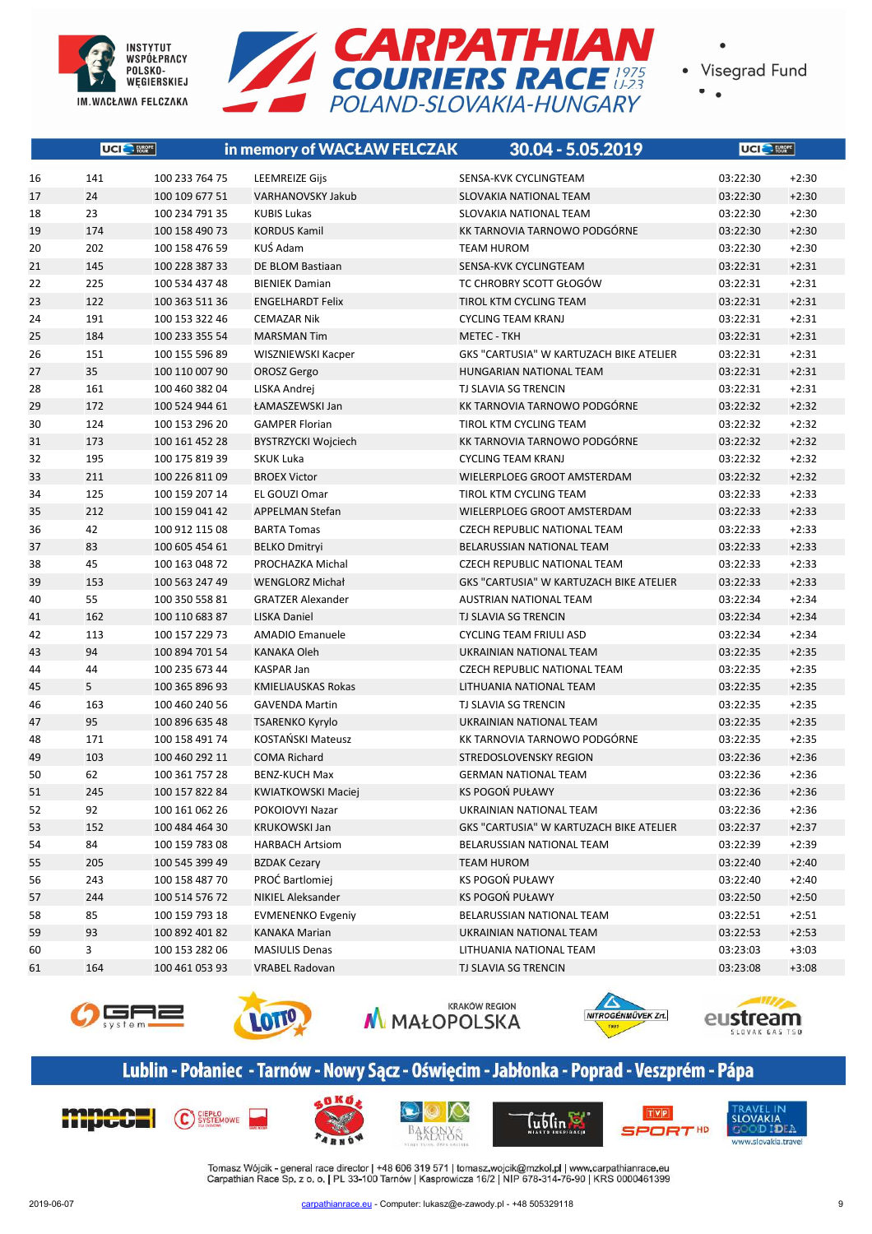



 $\bullet$ 

|    | UCI <sup>C</sup> FURRE |                | in memory of WACŁAW FELCZAK | 30.04 - 5.05.2019                              | UCI <sup>O</sup> FURGPE |         |
|----|------------------------|----------------|-----------------------------|------------------------------------------------|-------------------------|---------|
| 16 | 141                    | 100 233 764 75 | <b>LEEMREIZE Gijs</b>       | SENSA-KVK CYCLINGTEAM                          | 03:22:30                | $+2:30$ |
| 17 | 24                     | 100 109 677 51 | VARHANOVSKY Jakub           | SLOVAKIA NATIONAL TEAM                         | 03:22:30                | $+2:30$ |
| 18 | 23                     | 100 234 791 35 | <b>KUBIS Lukas</b>          | SLOVAKIA NATIONAL TEAM                         | 03:22:30                | $+2:30$ |
| 19 | 174                    | 100 158 490 73 | <b>KORDUS Kamil</b>         | KK TARNOVIA TARNOWO PODGÓRNE                   | 03:22:30                | $+2:30$ |
| 20 | 202                    | 100 158 476 59 | KUŚ Adam                    | <b>TEAM HUROM</b>                              | 03:22:30                | $+2:30$ |
| 21 | 145                    | 100 228 387 33 | DE BLOM Bastiaan            | SENSA-KVK CYCLINGTEAM                          | 03:22:31                | $+2:31$ |
| 22 | 225                    | 100 534 437 48 | <b>BIENIEK Damian</b>       | TC CHROBRY SCOTT GŁOGÓW                        | 03:22:31                | $+2:31$ |
| 23 | 122                    | 100 363 511 36 | <b>ENGELHARDT Felix</b>     | <b>TIROL KTM CYCLING TEAM</b>                  | 03:22:31                | $+2:31$ |
| 24 | 191                    | 100 153 322 46 | <b>CEMAZAR Nik</b>          | <b>CYCLING TEAM KRANJ</b>                      | 03:22:31                | $+2:31$ |
| 25 | 184                    | 100 233 355 54 | <b>MARSMAN Tim</b>          | <b>METEC - TKH</b>                             | 03:22:31                | $+2:31$ |
| 26 | 151                    | 100 155 596 89 | WISZNIEWSKI Kacper          | <b>GKS "CARTUSIA" W KARTUZACH BIKE ATELIER</b> | 03:22:31                | $+2:31$ |
| 27 | 35                     | 100 110 007 90 | OROSZ Gergo                 | HUNGARIAN NATIONAL TEAM                        | 03:22:31                | $+2:31$ |
| 28 | 161                    | 100 460 382 04 | LISKA Andrej                | TJ SLAVIA SG TRENCIN                           | 03:22:31                | $+2:31$ |
| 29 | 172                    | 100 524 944 61 | ŁAMASZEWSKI Jan             | KK TARNOVIA TARNOWO PODGÓRNE                   | 03:22:32                | $+2:32$ |
| 30 | 124                    | 100 153 296 20 | <b>GAMPER Florian</b>       | TIROL KTM CYCLING TEAM                         | 03:22:32                | $+2:32$ |
| 31 | 173                    | 100 161 452 28 | <b>BYSTRZYCKI Wojciech</b>  | KK TARNOVIA TARNOWO PODGÓRNE                   | 03:22:32                | $+2:32$ |
| 32 | 195                    | 100 175 819 39 | <b>SKUK Luka</b>            | <b>CYCLING TEAM KRANJ</b>                      | 03:22:32                | $+2:32$ |
| 33 | 211                    | 100 226 811 09 | <b>BROEX Victor</b>         | WIELERPLOEG GROOT AMSTERDAM                    | 03:22:32                | $+2:32$ |
| 34 | 125                    | 100 159 207 14 | EL GOUZI Omar               | TIROL KTM CYCLING TEAM                         | 03:22:33                | $+2:33$ |
| 35 | 212                    | 100 159 041 42 | <b>APPELMAN Stefan</b>      | WIELERPLOEG GROOT AMSTERDAM                    | 03:22:33                | $+2:33$ |
| 36 | 42                     | 100 912 115 08 | <b>BARTA Tomas</b>          | CZECH REPUBLIC NATIONAL TEAM                   | 03:22:33                | $+2:33$ |
| 37 | 83                     | 100 605 454 61 | <b>BELKO Dmitryi</b>        | BELARUSSIAN NATIONAL TEAM                      | 03:22:33                | $+2:33$ |
| 38 | 45                     | 100 163 048 72 | PROCHAZKA Michal            | CZECH REPUBLIC NATIONAL TEAM                   | 03:22:33                | $+2:33$ |
| 39 | 153                    | 100 563 247 49 | <b>WENGLORZ Michał</b>      | GKS "CARTUSIA" W KARTUZACH BIKE ATELIER        | 03:22:33                | $+2:33$ |
| 40 | 55                     | 100 350 558 81 | <b>GRATZER Alexander</b>    | AUSTRIAN NATIONAL TEAM                         | 03:22:34                | $+2:34$ |
| 41 | 162                    | 100 110 683 87 | <b>LISKA Daniel</b>         | TJ SLAVIA SG TRENCIN                           | 03:22:34                | $+2:34$ |
| 42 | 113                    | 100 157 229 73 | <b>AMADIO Emanuele</b>      | <b>CYCLING TEAM FRIULI ASD</b>                 | 03:22:34                | $+2:34$ |
| 43 | 94                     | 100 894 701 54 | <b>KANAKA Oleh</b>          | UKRAINIAN NATIONAL TEAM                        | 03:22:35                | $+2:35$ |
| 44 | 44                     | 100 235 673 44 | <b>KASPAR Jan</b>           | CZECH REPUBLIC NATIONAL TEAM                   | 03:22:35                | $+2:35$ |
| 45 | 5                      | 100 365 896 93 | KMIELIAUSKAS Rokas          | LITHUANIA NATIONAL TEAM                        | 03:22:35                | $+2:35$ |
| 46 | 163                    | 100 460 240 56 | <b>GAVENDA Martin</b>       | TJ SLAVIA SG TRENCIN                           | 03:22:35                | $+2:35$ |
| 47 | 95                     | 100 896 635 48 | <b>TSARENKO Kyrylo</b>      | UKRAINIAN NATIONAL TEAM                        | 03:22:35                | $+2:35$ |
| 48 | 171                    | 100 158 491 74 | KOSTAŃSKI Mateusz           | KK TARNOVIA TARNOWO PODGÓRNE                   | 03:22:35                | $+2:35$ |
| 49 | 103                    | 100 460 292 11 | <b>COMA Richard</b>         | STREDOSLOVENSKY REGION                         | 03:22:36                | $+2:36$ |
| 50 | 62                     | 100 361 757 28 | <b>BENZ-KUCH Max</b>        | <b>GERMAN NATIONAL TEAM</b>                    | 03:22:36                | $+2:36$ |
| 51 | 245                    | 100 157 822 84 | <b>KWIATKOWSKI Maciei</b>   | KS POGOŃ PUŁAWY                                | 03:22:36                | $+2:36$ |
| 52 | 92                     | 100 161 062 26 | POKOIOVYI Nazar             | UKRAINIAN NATIONAL TEAM                        | 03:22:36                | $+2:36$ |
| 53 | 152                    | 100 484 464 30 | <b>KRUKOWSKI Jan</b>        | GKS "CARTUSIA" W KARTUZACH BIKE ATELIER        | 03:22:37                | $+2:37$ |
| 54 | 84                     | 100 159 783 08 | <b>HARBACH Artsiom</b>      | BELARUSSIAN NATIONAL TEAM                      | 03:22:39                | $+2:39$ |
| 55 | 205                    | 100 545 399 49 | <b>BZDAK Cezary</b>         | TEAM HUROM                                     | 03:22:40                | $+2:40$ |
| 56 | 243                    | 100 158 487 70 | PROĆ Bartlomiej             | KS POGOŃ PUŁAWY                                | 03:22:40                | $+2:40$ |
| 57 | 244                    | 100 514 576 72 | NIKIEL Aleksander           | KS POGOŃ PUŁAWY                                | 03:22:50                | $+2:50$ |
| 58 | 85                     | 100 159 793 18 | <b>EVMENENKO Evgeniy</b>    | BELARUSSIAN NATIONAL TEAM                      | 03:22:51                | $+2:51$ |
| 59 | 93                     | 100 892 401 82 | <b>KANAKA Marian</b>        | UKRAINIAN NATIONAL TEAM                        | 03:22:53                | $+2:53$ |
| 60 | 3                      | 100 153 282 06 | <b>MASIULIS Denas</b>       | LITHUANIA NATIONAL TEAM                        | 03:23:03                | $+3:03$ |
| 61 | 164                    | 100 461 053 93 | <b>VRABEL Radovan</b>       | TJ SLAVIA SG TRENCIN                           | 03:23:08                | $+3:08$ |











# Lublin - Połaniec - Tarnów - Nowy Sącz - Oświęcim - Jabłonka - Poprad - Veszprém - Pápa









Tublin E



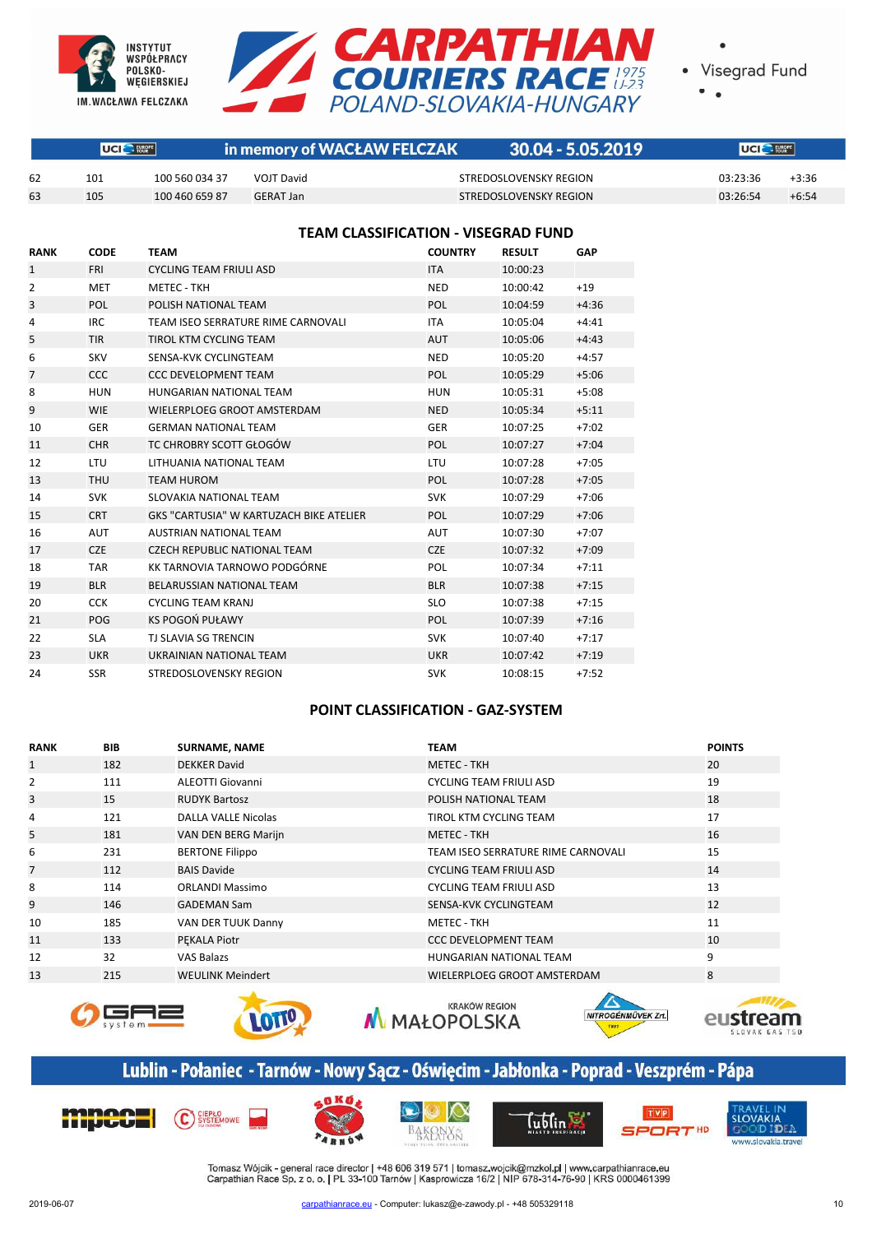



| U-ZJ      |  |
|-----------|--|
| <b>RY</b> |  |
|           |  |

|    | UCI <b>BROPE</b> |                | in memory of WACŁAW FELCZAK | $30.04 - 5.05.2019$    | <b>JUCI BROPE</b> |         |
|----|------------------|----------------|-----------------------------|------------------------|-------------------|---------|
| 62 | 101              | 100 560 034 37 | <b>VOJT David</b>           | STREDOSLOVENSKY REGION | 03:23:36          | $+3:36$ |
| 63 | 105              | 100 460 659 87 | GERAT Jan                   | STREDOSLOVENSKY REGION | 03:26:54          | $+6:54$ |

# **TEAM CLASSIFICATION - VISEGRAD FUND**

| <b>RANK</b>    | <b>CODE</b> | <b>TEAM</b>                             | <b>COUNTRY</b> | <b>RESULT</b> | <b>GAP</b> |
|----------------|-------------|-----------------------------------------|----------------|---------------|------------|
| $\mathbf{1}$   | <b>FRI</b>  | <b>CYCLING TEAM FRIULI ASD</b>          | <b>ITA</b>     | 10:00:23      |            |
| 2              | <b>MET</b>  | <b>METEC - TKH</b>                      | <b>NED</b>     | 10:00:42      | $+19$      |
| 3              | <b>POL</b>  | POLISH NATIONAL TEAM                    | POL            | 10:04:59      | $+4:36$    |
| 4              | <b>IRC</b>  | TEAM ISEO SERRATURE RIME CARNOVALI      | <b>ITA</b>     | 10:05:04      | $+4:41$    |
| 5              | <b>TIR</b>  | <b>TIROL KTM CYCLING TEAM</b>           | <b>AUT</b>     | 10:05:06      | $+4:43$    |
| 6              | <b>SKV</b>  | SENSA-KVK CYCLINGTEAM                   | <b>NED</b>     | 10:05:20      | $+4:57$    |
| $\overline{7}$ | CCC         | <b>CCC DEVELOPMENT TEAM</b>             | <b>POL</b>     | 10:05:29      | $+5:06$    |
| 8              | HUN         | HUNGARIAN NATIONAL TEAM                 | HUN            | 10:05:31      | $+5:08$    |
| 9              | <b>WIE</b>  | WIELERPLOEG GROOT AMSTERDAM             | <b>NED</b>     | 10:05:34      | $+5:11$    |
| 10             | <b>GER</b>  | <b>GERMAN NATIONAL TEAM</b>             | <b>GER</b>     | 10:07:25      | $+7:02$    |
| 11             | <b>CHR</b>  | TC CHROBRY SCOTT GŁOGÓW                 | POL            | 10:07:27      | $+7:04$    |
| 12             | <b>LTU</b>  | LITHUANIA NATIONAL TEAM                 | LTU            | 10:07:28      | $+7:05$    |
| 13             | <b>THU</b>  | <b>TEAM HUROM</b>                       | POL            | 10:07:28      | $+7:05$    |
| 14             | <b>SVK</b>  | SLOVAKIA NATIONAL TEAM                  | <b>SVK</b>     | 10:07:29      | $+7:06$    |
| 15             | <b>CRT</b>  | GKS "CARTUSIA" W KARTUZACH BIKE ATELIER | POL            | 10:07:29      | $+7:06$    |
| 16             | <b>AUT</b>  | <b>AUSTRIAN NATIONAL TEAM</b>           | <b>AUT</b>     | 10:07:30      | $+7:07$    |
| 17             | <b>CZE</b>  | <b>CZECH REPUBLIC NATIONAL TEAM</b>     | <b>CZE</b>     | 10:07:32      | $+7:09$    |
| 18             | <b>TAR</b>  | KK TARNOVIA TARNOWO PODGÓRNE            | POL            | 10:07:34      | $+7:11$    |
| 19             | <b>BLR</b>  | BELARUSSIAN NATIONAL TEAM               | <b>BLR</b>     | 10:07:38      | $+7:15$    |
| 20             | <b>CCK</b>  | <b>CYCLING TEAM KRANJ</b>               | <b>SLO</b>     | 10:07:38      | $+7:15$    |
| 21             | POG         | KS POGOŃ PUŁAWY                         | POL            | 10:07:39      | $+7:16$    |
| 22             | <b>SLA</b>  | <b>TJ SLAVIA SG TRENCIN</b>             | <b>SVK</b>     | 10:07:40      | $+7:17$    |
| 23             | <b>UKR</b>  | UKRAINIAN NATIONAL TEAM                 | <b>UKR</b>     | 10:07:42      | $+7:19$    |
| 24             | <b>SSR</b>  | STREDOSLOVENSKY REGION                  | <b>SVK</b>     | 10:08:15      | $+7:52$    |

# **POINT CLASSIFICATION - GAZ-SYSTEM**

| <b>RANK</b>    | <b>BIB</b> | <b>SURNAME, NAME</b>       | TEAM                               | <b>POINTS</b> |
|----------------|------------|----------------------------|------------------------------------|---------------|
| $\mathbf{1}$   | 182        | <b>DEKKER David</b>        | <b>METEC - TKH</b>                 | 20            |
| $\overline{2}$ | 111        | ALEOTTI Giovanni           | <b>CYCLING TEAM FRIULI ASD</b>     | 19            |
| 3              | 15         | <b>RUDYK Bartosz</b>       | POLISH NATIONAL TEAM               | 18            |
| 4              | 121        | <b>DALLA VALLE Nicolas</b> | TIROL KTM CYCLING TEAM             | 17            |
| 5              | 181        | VAN DEN BERG Marijn        | METEC - TKH                        | 16            |
| 6              | 231        | <b>BERTONE Filippo</b>     | TEAM ISEO SERRATURE RIME CARNOVALI | 15            |
| $\overline{7}$ | 112        | <b>BAIS Davide</b>         | <b>CYCLING TEAM FRIULI ASD</b>     | 14            |
| 8              | 114        | <b>ORLANDI Massimo</b>     | CYCLING TEAM FRIULI ASD            | 13            |
| 9              | 146        | <b>GADEMAN Sam</b>         | SENSA-KVK CYCLINGTEAM              | 12            |
| 10             | 185        | VAN DER TUUK Danny         | <b>METEC - TKH</b>                 | 11            |
| 11             | 133        | PEKALA Piotr               | <b>CCC DEVELOPMENT TEAM</b>        | 10            |
| 12             | 32         | <b>VAS Balazs</b>          | HUNGARIAN NATIONAL TEAM            | 9             |
| 13             | 215        | <b>WEULINK Meindert</b>    | WIELERPLOEG GROOT AMSTERDAM        | 8             |
|                |            |                            |                                    |               |





**KRAKÓW REGION** M MAŁOPOLSKA





# Lublin - Połaniec - Tarnów - Nowy Sącz - Oświęcim - Jabłonka - Poprad - Veszprém - Pápa











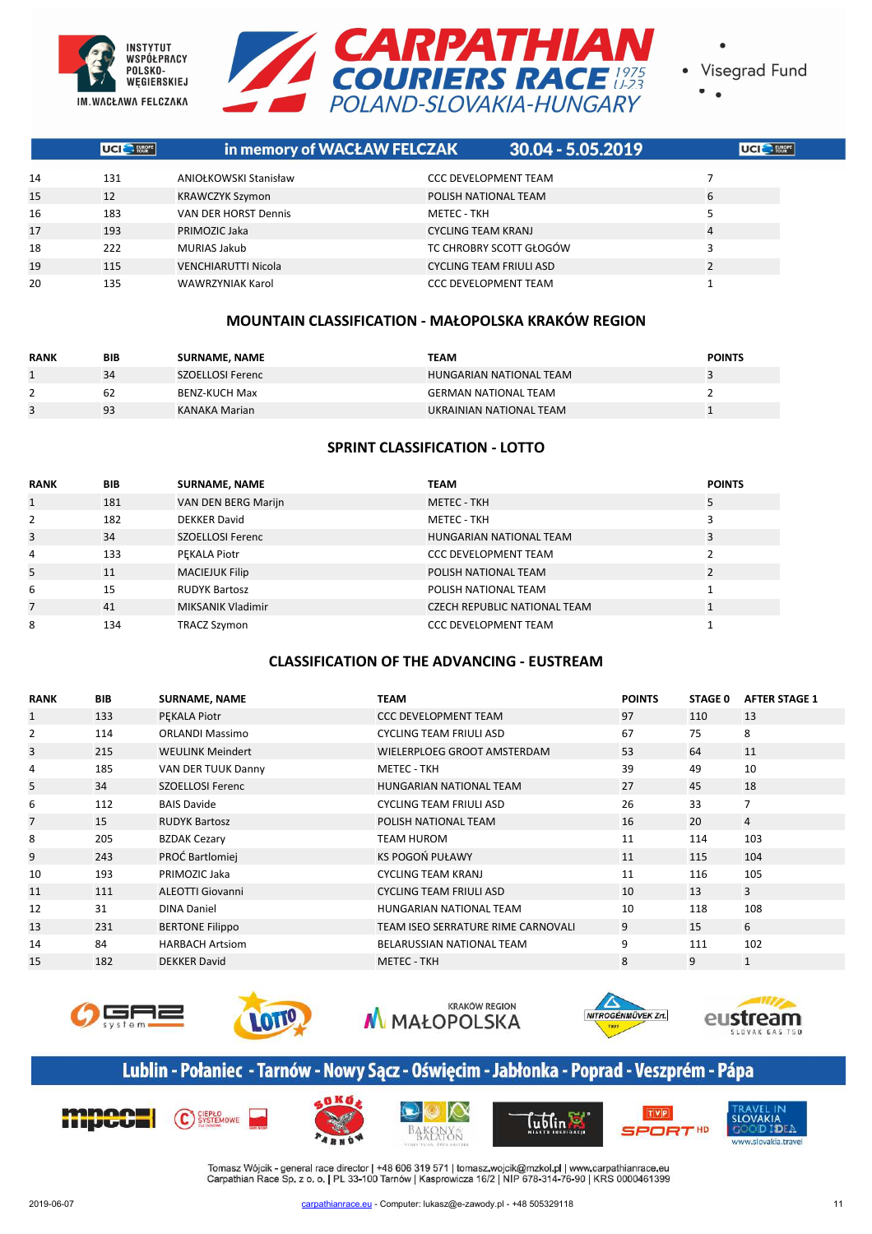



 $\bullet$ 

|    | UCI <sup>-</sup> FURCIPE | in memory of WACŁAW FELCZAK |                                | 30.04 - 5.05.2019 | UCI <sup>-</sup> FURGPE |
|----|--------------------------|-----------------------------|--------------------------------|-------------------|-------------------------|
| 14 | 131                      | ANIOŁKOWSKI Stanisław       | <b>CCC DEVELOPMENT TEAM</b>    |                   |                         |
| 15 | 12                       | <b>KRAWCZYK Szymon</b>      | POLISH NATIONAL TEAM           |                   | 6                       |
| 16 | 183                      | VAN DER HORST Dennis        | <b>METEC - TKH</b>             |                   |                         |
| 17 | 193                      | PRIMOZIC Jaka               | CYCLING TEAM KRANJ             |                   | 4                       |
| 18 | 222                      | <b>MURIAS Jakub</b>         | TC CHROBRY SCOTT GŁOGÓW        |                   |                         |
| 19 | 115                      | <b>VENCHIARUTTI Nicola</b>  | <b>CYCLING TEAM FRIULI ASD</b> |                   |                         |
| 20 | 135                      | WAWRZYNIAK Karol            | <b>CCC DEVELOPMENT TEAM</b>    |                   |                         |

## **MOUNTAIN CLASSIFICATION - MAŁOPOLSKA KRAKÓW REGION**

| <b>RANK</b> | <b>BIB</b> | <b>SURNAME, NAME</b> | TEAM                        | <b>POINTS</b> |
|-------------|------------|----------------------|-----------------------------|---------------|
|             | 34         | SZOELLOSI Ferenc     | HUNGARIAN NATIONAL TEAM     |               |
|             | 62         | BENZ-KUCH Max        | <b>GERMAN NATIONAL TEAM</b> |               |
|             | 93         | KANAKA Marian        | UKRAINIAN NATIONAL TEAM     |               |

# **SPRINT CLASSIFICATION - LOTTO**

| <b>RANK</b>    | <b>BIB</b> | <b>SURNAME, NAME</b>     | TEAM                         | <b>POINTS</b> |
|----------------|------------|--------------------------|------------------------------|---------------|
| $\mathbf{1}$   | 181        | VAN DEN BERG Marijn      | <b>METEC - TKH</b>           | 5             |
| $\overline{2}$ | 182        | <b>DEKKER David</b>      | METEC - TKH                  |               |
| 3              | 34         | <b>SZOELLOSI Ferenc</b>  | HUNGARIAN NATIONAL TEAM      | 3             |
| 4              | 133        | PEKALA Piotr             | <b>CCC DEVELOPMENT TEAM</b>  |               |
| 5              | 11         | <b>MACIEJUK Filip</b>    | POLISH NATIONAL TEAM         |               |
| 6              | 15         | <b>RUDYK Bartosz</b>     | POLISH NATIONAL TEAM         |               |
| 7              | 41         | <b>MIKSANIK Vladimir</b> | CZECH REPUBLIC NATIONAL TEAM |               |
| 8              | 134        | <b>TRACZ Szymon</b>      | <b>CCC DEVELOPMENT TEAM</b>  |               |

# **CLASSIFICATION OF THE ADVANCING - EUSTREAM**

| <b>RANK</b>    | <b>BIB</b> | <b>SURNAME, NAME</b>    | <b>TEAM</b>                        | <b>POINTS</b> | <b>STAGE 0</b> | <b>AFTER STAGE 1</b> |
|----------------|------------|-------------------------|------------------------------------|---------------|----------------|----------------------|
| 1              | 133        | PEKALA Piotr            | <b>CCC DEVELOPMENT TEAM</b>        | 97            | 110            | 13                   |
| $\overline{2}$ | 114        | <b>ORLANDI Massimo</b>  | <b>CYCLING TEAM FRIULI ASD</b>     | 67            | 75             | 8                    |
| 3              | 215        | <b>WEULINK Meindert</b> | WIELERPLOEG GROOT AMSTERDAM        | 53            | 64             | 11                   |
| 4              | 185        | VAN DER TUUK Danny      | METEC - TKH                        | 39            | 49             | 10                   |
| 5              | 34         | <b>SZOELLOSI Ferenc</b> | HUNGARIAN NATIONAL TEAM            | 27            | 45             | 18                   |
| 6              | 112        | <b>BAIS Davide</b>      | <b>CYCLING TEAM FRIULI ASD</b>     | 26            | 33             | $\overline{7}$       |
| $\overline{7}$ | 15         | <b>RUDYK Bartosz</b>    | POLISH NATIONAL TEAM               | 16            | 20             | 4                    |
| 8              | 205        | <b>BZDAK Cezary</b>     | TEAM HUROM                         | 11            | 114            | 103                  |
| 9              | 243        | PROĆ Bartlomiej         | KS POGOŃ PUŁAWY                    | 11            | 115            | 104                  |
| 10             | 193        | PRIMOZIC Jaka           | <b>CYCLING TEAM KRANJ</b>          | 11            | 116            | 105                  |
| 11             | 111        | <b>ALEOTTI Giovanni</b> | <b>CYCLING TEAM FRIULI ASD</b>     | 10            | 13             | 3                    |
| 12             | 31         | <b>DINA Daniel</b>      | HUNGARIAN NATIONAL TEAM            | 10            | 118            | 108                  |
| 13             | 231        | <b>BERTONE Filippo</b>  | TEAM ISEO SERRATURE RIME CARNOVALI | 9             | 15             | 6                    |
| 14             | 84         | <b>HARBACH Artsiom</b>  | BELARUSSIAN NATIONAL TEAM          | 9             | 111            | 102                  |
| 15             | 182        | <b>DEKKER David</b>     | <b>METEC - TKH</b>                 | 8             | 9              | $\mathbf{1}$         |
|                |            |                         |                                    |               |                |                      |











# Lublin - Połaniec - Tarnów - Nowy Sącz - Oświęcim - Jabłonka - Poprad - Veszprém - Pápa











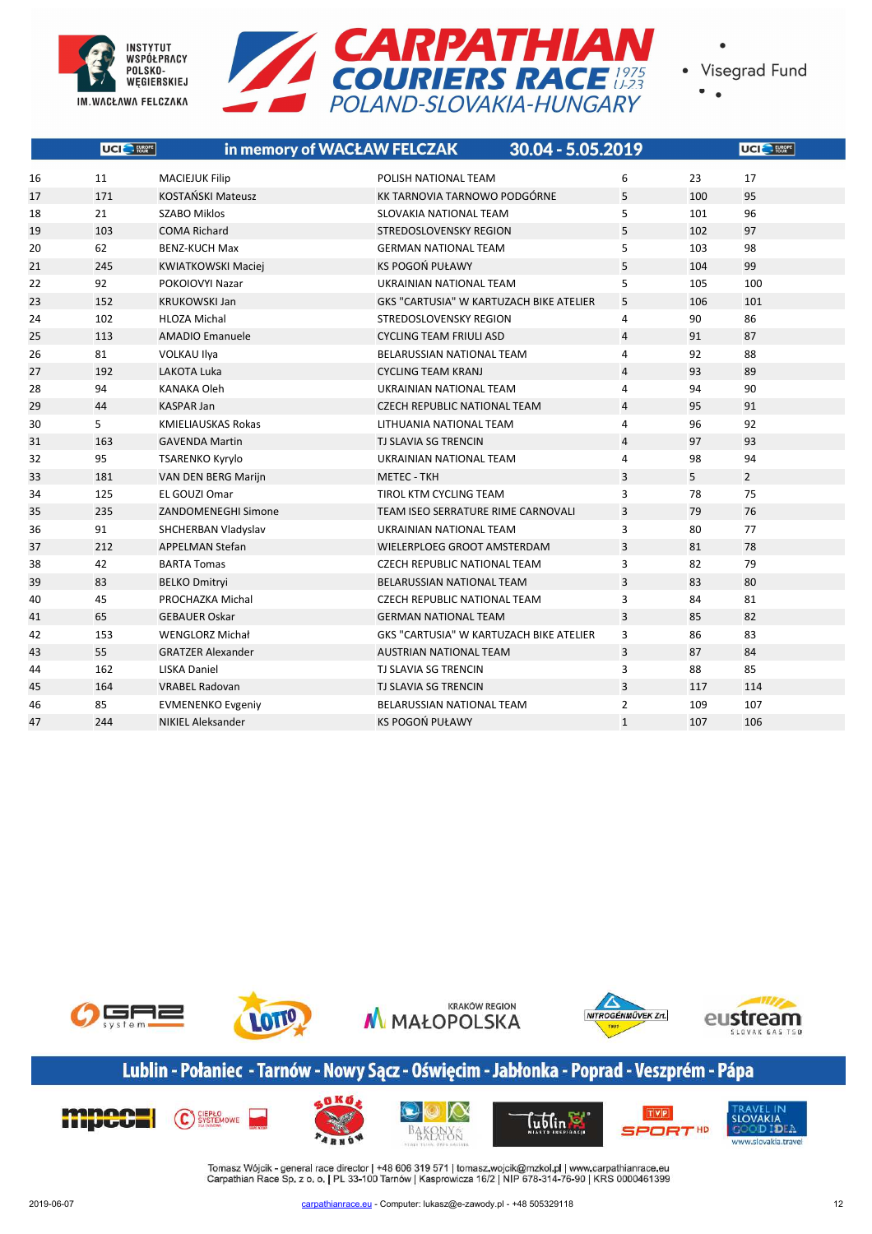



 $\bullet$ 

|    | UCI <sup>O</sup> FURPE | in memory of WACŁAW FELCZAK | 30.04 - 5.05.2019                              |                |     | UCI <sup>O</sup> FURPE |
|----|------------------------|-----------------------------|------------------------------------------------|----------------|-----|------------------------|
| 16 | 11                     | <b>MACIEJUK Filip</b>       | POLISH NATIONAL TEAM                           | 6              | 23  | 17                     |
| 17 | 171                    | <b>KOSTAŃSKI Mateusz</b>    | KK TARNOVIA TARNOWO PODGÓRNE                   | 5              | 100 | 95                     |
| 18 | 21                     | <b>SZABO Miklos</b>         | <b>SLOVAKIA NATIONAL TEAM</b>                  | 5              | 101 | 96                     |
| 19 | 103                    | <b>COMA Richard</b>         | <b>STREDOSLOVENSKY REGION</b>                  | 5              | 102 | 97                     |
| 20 | 62                     | <b>BENZ-KUCH Max</b>        | <b>GERMAN NATIONAL TEAM</b>                    | 5              | 103 | 98                     |
| 21 | 245                    | KWIATKOWSKI Maciej          | <b>KS POGOŃ PUŁAWY</b>                         | 5              | 104 | 99                     |
| 22 | 92                     | POKOIOVYI Nazar             | UKRAINIAN NATIONAL TEAM                        | 5              | 105 | 100                    |
| 23 | 152                    | <b>KRUKOWSKI Jan</b>        | GKS "CARTUSIA" W KARTUZACH BIKE ATELIER        | 5              | 106 | 101                    |
| 24 | 102                    | <b>HLOZA Michal</b>         | STREDOSLOVENSKY REGION                         | 4              | 90  | 86                     |
| 25 | 113                    | <b>AMADIO Emanuele</b>      | <b>CYCLING TEAM FRIULI ASD</b>                 | $\overline{4}$ | 91  | 87                     |
| 26 | 81                     | <b>VOLKAU Ilya</b>          | <b>BELARUSSIAN NATIONAL TEAM</b>               | 4              | 92  | 88                     |
| 27 | 192                    | LAKOTA Luka                 | <b>CYCLING TEAM KRANJ</b>                      | $\overline{4}$ | 93  | 89                     |
| 28 | 94                     | <b>KANAKA Oleh</b>          | UKRAINIAN NATIONAL TEAM                        | 4              | 94  | 90                     |
| 29 | 44                     | <b>KASPAR Jan</b>           | <b>CZECH REPUBLIC NATIONAL TEAM</b>            | $\overline{4}$ | 95  | 91                     |
| 30 | 5                      | <b>KMIELIAUSKAS Rokas</b>   | LITHUANIA NATIONAL TEAM                        | 4              | 96  | 92                     |
| 31 | 163                    | <b>GAVENDA Martin</b>       | TJ SLAVIA SG TRENCIN                           | $\overline{4}$ | 97  | 93                     |
| 32 | 95                     | <b>TSARENKO Kyrylo</b>      | UKRAINIAN NATIONAL TEAM                        | $\overline{4}$ | 98  | 94                     |
| 33 | 181                    | VAN DEN BERG Marijn         | <b>METEC - TKH</b>                             | 3              | 5   | $\overline{2}$         |
| 34 | 125                    | EL GOUZI Omar               | TIROL KTM CYCLING TEAM                         | 3              | 78  | 75                     |
| 35 | 235                    | <b>ZANDOMENEGHI Simone</b>  | TEAM ISEO SERRATURE RIME CARNOVALI             | 3              | 79  | 76                     |
| 36 | 91                     | SHCHERBAN Vladyslav         | <b>UKRAINIAN NATIONAL TEAM</b>                 | 3              | 80  | 77                     |
| 37 | 212                    | <b>APPELMAN Stefan</b>      | WIELERPLOEG GROOT AMSTERDAM                    | 3              | 81  | 78                     |
| 38 | 42                     | <b>BARTA Tomas</b>          | CZECH REPUBLIC NATIONAL TEAM                   | 3              | 82  | 79                     |
| 39 | 83                     | <b>BELKO Dmitryi</b>        | BELARUSSIAN NATIONAL TEAM                      | 3              | 83  | 80                     |
| 40 | 45                     | PROCHAZKA Michal            | <b>CZECH REPUBLIC NATIONAL TEAM</b>            | 3              | 84  | 81                     |
| 41 | 65                     | <b>GEBAUER Oskar</b>        | <b>GERMAN NATIONAL TEAM</b>                    | 3              | 85  | 82                     |
| 42 | 153                    | <b>WENGLORZ Michał</b>      | <b>GKS "CARTUSIA" W KARTUZACH BIKE ATELIER</b> | 3              | 86  | 83                     |
| 43 | 55                     | <b>GRATZER Alexander</b>    | <b>AUSTRIAN NATIONAL TEAM</b>                  | 3              | 87  | 84                     |
| 44 | 162                    | <b>LISKA Daniel</b>         | TJ SLAVIA SG TRENCIN                           | 3              | 88  | 85                     |
| 45 | 164                    | <b>VRABEL Radovan</b>       | <b>TJ SLAVIA SG TRENCIN</b>                    | 3              | 117 | 114                    |
| 46 | 85                     | <b>EVMENENKO Evgeniy</b>    | <b>BELARUSSIAN NATIONAL TEAM</b>               | $\overline{2}$ | 109 | 107                    |
| 47 | 244                    | NIKIEL Aleksander           | <b>KS POGOŃ PUŁAWY</b>                         | $\mathbf{1}$   | 107 | 106                    |



# Lublin - Połaniec - Tarnów - Nowy Sącz - Oświęcim - Jabłonka - Poprad - Veszprém - Pápa

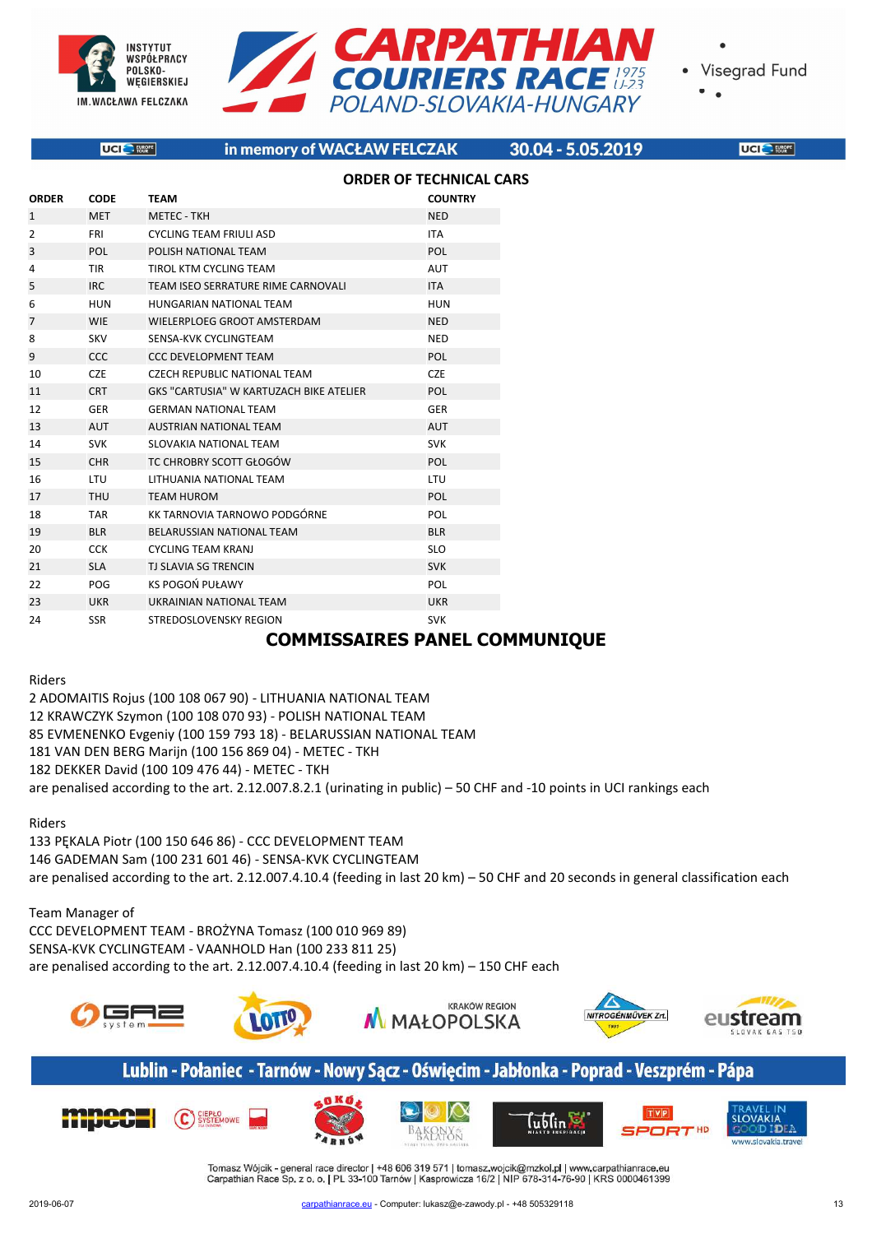



|                | UCI <sup>O</sup> - FURGPE | in memory of WACŁAW FELCZAK             |                                | 30.04 - 5.05.2019 | UCI <sup>O</sup> FURPE |
|----------------|---------------------------|-----------------------------------------|--------------------------------|-------------------|------------------------|
|                |                           |                                         | <b>ORDER OF TECHNICAL CARS</b> |                   |                        |
| <b>ORDER</b>   | <b>CODE</b>               | <b>TEAM</b>                             | <b>COUNTRY</b>                 |                   |                        |
| $\mathbf{1}$   | <b>MET</b>                | <b>METEC - TKH</b>                      | <b>NED</b>                     |                   |                        |
| 2              | FRI                       | <b>CYCLING TEAM FRIULI ASD</b>          | ITA                            |                   |                        |
| 3              | POL                       | POLISH NATIONAL TEAM                    | POL                            |                   |                        |
| 4              | TIR                       | TIROL KTM CYCLING TEAM                  | AUT                            |                   |                        |
| 5              | <b>IRC</b>                | TEAM ISEO SERRATURE RIME CARNOVALI      | <b>ITA</b>                     |                   |                        |
| 6              | <b>HUN</b>                | HUNGARIAN NATIONAL TEAM                 | <b>HUN</b>                     |                   |                        |
| $\overline{7}$ | <b>WIE</b>                | WIELERPLOEG GROOT AMSTERDAM             | <b>NED</b>                     |                   |                        |
| 8              | SKV                       | SENSA-KVK CYCLINGTEAM                   | <b>NED</b>                     |                   |                        |
| 9              | <b>CCC</b>                | <b>CCC DEVELOPMENT TEAM</b>             | POL                            |                   |                        |
| 10             | <b>CZE</b>                | <b>CZECH REPUBLIC NATIONAL TEAM</b>     | <b>CZE</b>                     |                   |                        |
| 11             | <b>CRT</b>                | GKS "CARTUSIA" W KARTUZACH BIKE ATELIER | POL                            |                   |                        |
| 12             | GER                       | <b>GERMAN NATIONAL TEAM</b>             | GER                            |                   |                        |
| 13             | <b>AUT</b>                | AUSTRIAN NATIONAL TEAM                  | <b>AUT</b>                     |                   |                        |
| 14             | <b>SVK</b>                | SLOVAKIA NATIONAL TEAM                  | <b>SVK</b>                     |                   |                        |
| 15             | <b>CHR</b>                | TC CHROBRY SCOTT GŁOGÓW                 | POL                            |                   |                        |
| 16             | LTU                       | LITHUANIA NATIONAL TEAM                 | <b>LTU</b>                     |                   |                        |
| 17             | <b>THU</b>                | <b>TEAM HUROM</b>                       | POL                            |                   |                        |
| 18             | <b>TAR</b>                | KK TARNOVIA TARNOWO PODGÓRNE            | POL                            |                   |                        |
| 19             | <b>BLR</b>                | BELARUSSIAN NATIONAL TEAM               | <b>BLR</b>                     |                   |                        |
| 20             | <b>CCK</b>                | <b>CYCLING TEAM KRANJ</b>               | <b>SLO</b>                     |                   |                        |
| 21             | <b>SLA</b>                | <b>TJ SLAVIA SG TRENCIN</b>             | <b>SVK</b>                     |                   |                        |
| 22             | POG                       | KS POGOŃ PUŁAWY                         | POL                            |                   |                        |
| 23             | <b>UKR</b>                | UKRAINIAN NATIONAL TEAM                 | <b>UKR</b>                     |                   |                        |
| 24             | <b>SSR</b>                | <b>STREDOSLOVENSKY REGION</b>           | <b>SVK</b>                     |                   |                        |

# **COMMISSAIRES PANEL COMMUNIQUE**

Riders

2 ADOMAITIS Rojus (100 108 067 90) - LITHUANIA NATIONAL TEAM 12 KRAWCZYK Szymon (100 108 070 93) - POLISH NATIONAL TEAM 85 EVMENENKO Evgeniy (100 159 793 18) - BELARUSSIAN NATIONAL TEAM 181 VAN DEN BERG Marijn (100 156 869 04) - METEC - TKH 182 DEKKER David (100 109 476 44) - METEC - TKH are penalised according to the art. 2.12.007.8.2.1 (urinating in public) – 50 CHF and -10 points in UCI rankings each

Riders

133 PĘKALA Piotr (100 150 646 86) - CCC DEVELOPMENT TEAM 146 GADEMAN Sam (100 231 601 46) - SENSA-KVK CYCLINGTEAM are penalised according to the art. 2.12.007.4.10.4 (feeding in last 20 km) – 50 CHF and 20 seconds in general classification each

Team Manager of

CCC DEVELOPMENT TEAM - BROŻYNA Tomasz (100 010 969 89) SENSA-KVK CYCLINGTEAM - VAANHOLD Han (100 233 811 25) are penalised according to the art. 2.12.007.4.10.4 (feeding in last 20 km) – 150 CHF each











# Lublin - Połaniec - Tarnów - Nowy Sącz - Oświęcim - Jabłonka - Poprad - Veszprém - Pápa

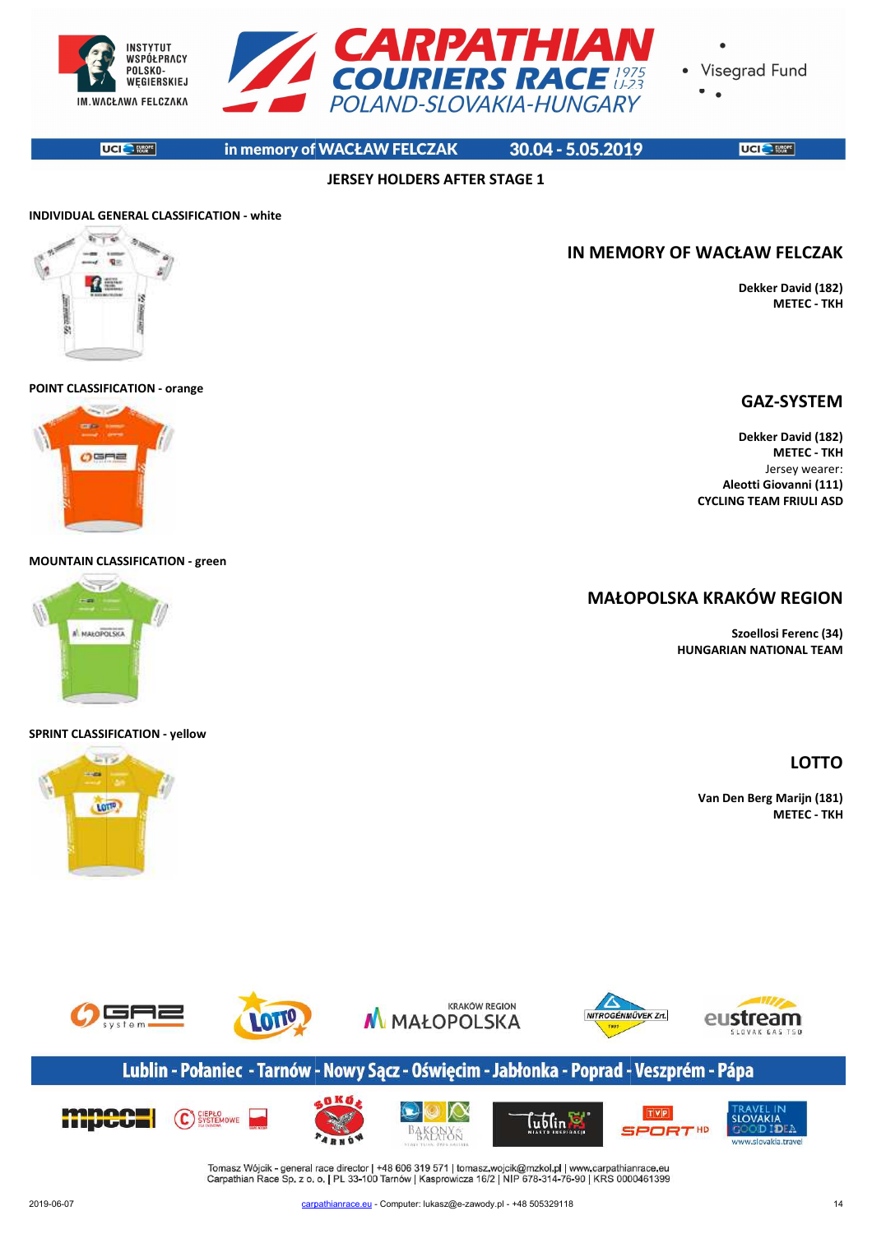

**UCI** BERRE

in memory of WACŁAW FELCZAK 30.04 - 5.05.2019 UCI<sup>C</sup> FUSER<sup></sup>

Visegrad Fund

**IN MEMORY OF WACŁAW FELCZAK**

# **JERSEY HOLDERS AFTER STAGE 1**

## **INDIVIDUAL GENERAL CLASSIFICATION - white**

#### **POINT CLASSIFICATION - orange**



**MOUNTAIN CLASSIFICATION - green**



#### **SPRINT CLASSIFICATION - yellow**

# **Fireway** LOTIO



# Lublin - Połaniec - Tarnów - Nowy Sącz - Oświęcim - Jabłonka - Poprad - Veszprém - Pápa



Tomasz Wójcik - general race director | +48 606 319 571 | tomasz wojcik@mzkol.pl | www.carpathianrace.eu<br>Carpathian Race Sp. z o. o. | PL 33-100 Tarnów | Kasprowicza 16/2 | NIP 678-314-76-90 | KRS 0000461399

# **LOTTO**

**Van Den Berg Marijn (181) METEC - TKH**

**GAZ-SYSTEM**

**Dekker David (182) METEC - TKH**

**Dekker David (182) METEC - TKH** Jersey wearer: **Aleotti Giovanni (111) CYCLING TEAM FRIULI ASD**

# **MAŁOPOLSKA KRAKÓW REGION**

**Szoellosi Ferenc (34) HUNGARIAN NATIONAL TEAM**

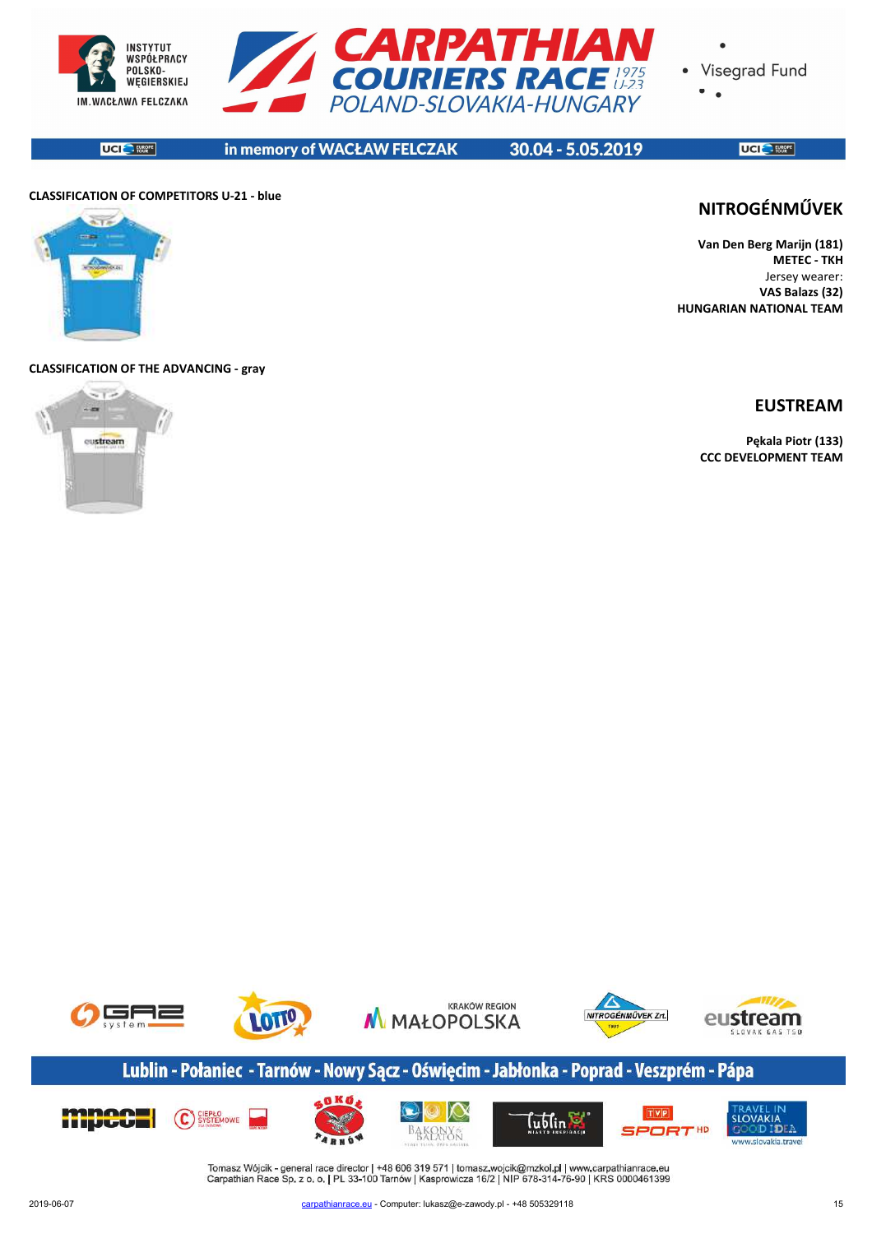

in memory of WACŁAW FELCZAK

30.04 - 5.05.2019

UCI<sup>C</sup> FUSER<sup></sup>

# **CLASSIFICATION OF COMPETITORS U-21 - blue NITROGÉNMŰVEK**

**UCI** BERRE



**Van Den Berg Marijn (181) METEC - TKH** Jersey wearer: **VAS Balazs (32) HUNGARIAN NATIONAL TEAM**

#### **CLASSIFICATION OF THE ADVANCING - gray**



**EUSTREAM**

**Pękala Piotr (133) CCC DEVELOPMENT TEAM**



# Lublin - Połaniec - Tarnów - Nowy Sącz - Oświęcim - Jabłonka - Poprad - Veszprém - Pápa